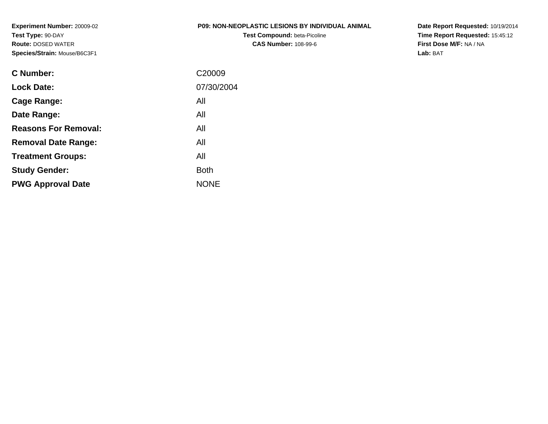**Experiment Number:** 20009-02**Test Type:** 90-DAY **Route:** DOSED WATER**Species/Strain:** Mouse/B6C3F1

### **P09: NON-NEOPLASTIC LESIONS BY INDIVIDUAL ANIMAL**

**Test Compound:** beta-Picoline**CAS Number:** 108-99-6

**Date Report Requested:** 10/19/2014 **Time Report Requested:** 15:45:12**First Dose M/F:** NA / NA**Lab:** BAT

| C <sub>20009</sub> |
|--------------------|
| 07/30/2004         |
| All                |
| All                |
| All                |
| All                |
| All                |
| <b>Both</b>        |
| <b>NONE</b>        |
|                    |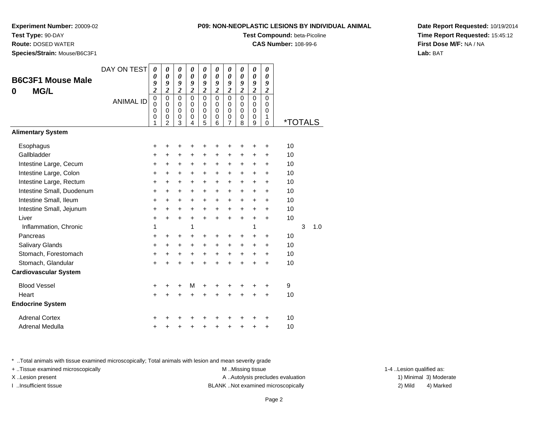### **Test Type:** 90-DAY

**Route:** DOSED WATER

**Species/Strain:** Mouse/B6C3F1

### **P09: NON-NEOPLASTIC LESIONS BY INDIVIDUAL ANIMAL**

**Test Compound:** beta-Picoline

**CAS Number:** 108-99-6

**Date Report Requested:** 10/19/2014**Time Report Requested:** 15:45:12**First Dose M/F:** NA / NA**Lab:** BAT

| <b>B6C3F1 Mouse Male</b><br><b>MG/L</b><br>0 | DAY ON TEST      | $\boldsymbol{\theta}$<br>0<br>9<br>$\overline{\mathbf{c}}$ | 0<br>$\boldsymbol{\theta}$<br>9<br>$\overline{c}$             | 0<br>0<br>9<br>$\overline{\mathbf{c}}$              | 0<br>$\boldsymbol{\theta}$<br>9<br>$\overline{\mathbf{c}}$ | 0<br>0<br>9<br>$\overline{\mathbf{c}}$    | 0<br>$\boldsymbol{\theta}$<br>9<br>$\overline{2}$          | 0<br>0<br>9<br>$\overline{\mathbf{c}}$                        | 0<br>$\boldsymbol{\theta}$<br>9<br>$\overline{\mathbf{c}}$    | 0<br>0<br>9<br>$\overline{\mathbf{c}}$                     | 0<br>$\boldsymbol{\theta}$<br>9<br>$\overline{\mathbf{c}}$ |                       |   |     |
|----------------------------------------------|------------------|------------------------------------------------------------|---------------------------------------------------------------|-----------------------------------------------------|------------------------------------------------------------|-------------------------------------------|------------------------------------------------------------|---------------------------------------------------------------|---------------------------------------------------------------|------------------------------------------------------------|------------------------------------------------------------|-----------------------|---|-----|
|                                              | <b>ANIMAL ID</b> | $\mathbf 0$<br>0<br>$\mathbf 0$<br>0<br>1                  | $\mathbf 0$<br>$\Omega$<br>$\mathbf 0$<br>0<br>$\overline{2}$ | $\mathbf 0$<br>$\mathbf 0$<br>$\mathbf 0$<br>0<br>3 | $\mathbf 0$<br>$\Omega$<br>$\Omega$<br>0<br>4              | $\mathbf 0$<br>0<br>$\mathbf 0$<br>0<br>5 | $\mathbf 0$<br>$\Omega$<br>$\mathbf 0$<br>$\mathbf 0$<br>6 | $\mathbf 0$<br>$\mathbf 0$<br>$\mathbf 0$<br>$\mathbf 0$<br>7 | $\mathsf 0$<br>$\mathbf 0$<br>$\mathbf 0$<br>$\mathbf 0$<br>8 | $\mathbf 0$<br>$\Omega$<br>$\mathbf 0$<br>$\mathbf 0$<br>9 | $\Omega$<br>0<br>0<br>1<br>0                               | <i><b>*TOTALS</b></i> |   |     |
| <b>Alimentary System</b>                     |                  |                                                            |                                                               |                                                     |                                                            |                                           |                                                            |                                                               |                                                               |                                                            |                                                            |                       |   |     |
| Esophagus                                    |                  | +                                                          | +                                                             | +                                                   | +                                                          | +                                         | +                                                          | +                                                             | +                                                             | +                                                          | +                                                          | 10                    |   |     |
| Gallbladder                                  |                  | +                                                          | +                                                             | +                                                   | +                                                          | +                                         | +                                                          | +                                                             | $\ddot{}$                                                     | +                                                          | +                                                          | 10                    |   |     |
| Intestine Large, Cecum                       |                  | $\ddot{}$                                                  | $\ddot{}$                                                     | $\ddot{}$                                           | $\ddot{}$                                                  | $\ddot{}$                                 | $\ddot{}$                                                  | +                                                             | $\ddot{}$                                                     | +                                                          | $\ddot{}$                                                  | 10                    |   |     |
| Intestine Large, Colon                       |                  | +                                                          | $\pm$                                                         | $\pm$                                               | $\ddot{}$                                                  | $\ddot{}$                                 | +                                                          | +                                                             | +                                                             | $\ddot{}$                                                  | +                                                          | 10                    |   |     |
| Intestine Large, Rectum                      |                  | $\ddot{}$                                                  | $\ddot{}$                                                     | $\ddot{}$                                           | $\ddot{}$                                                  | $\ddot{}$                                 | $\ddot{}$                                                  | $\ddot{}$                                                     | $\ddot{}$                                                     | $\ddot{}$                                                  | $\ddot{}$                                                  | 10                    |   |     |
| Intestine Small, Duodenum                    |                  | $\ddot{}$                                                  | +                                                             | +                                                   | $\ddot{}$                                                  | +                                         | +                                                          | +                                                             | +                                                             | +                                                          | +                                                          | 10                    |   |     |
| Intestine Small, Ileum                       |                  | $\ddot{}$                                                  | $\ddot{}$                                                     | $\ddot{}$                                           | $\ddot{}$                                                  | $\ddot{}$                                 | $\ddot{}$                                                  | $\ddot{}$                                                     | $\ddot{}$                                                     | +                                                          | $\ddot{}$                                                  | 10                    |   |     |
| Intestine Small, Jejunum                     |                  | +                                                          | $\ddot{}$                                                     | $\ddot{}$                                           | +                                                          | $\ddot{}$                                 | $\ddot{}$                                                  | $\ddot{}$                                                     | $\ddot{}$                                                     | +                                                          | +                                                          | 10                    |   |     |
| Liver                                        |                  | $\ddot{}$                                                  | $\ddot{}$                                                     | $+$                                                 | $\ddot{}$                                                  | $+$                                       | $\ddot{}$                                                  | $\ddot{}$                                                     | $\ddot{}$                                                     | $\ddot{}$                                                  | $\ddot{}$                                                  | 10                    |   |     |
| Inflammation, Chronic                        |                  | 1                                                          |                                                               |                                                     | 1                                                          |                                           |                                                            |                                                               |                                                               | 1                                                          |                                                            |                       | 3 | 1.0 |
| Pancreas                                     |                  | $\ddot{}$                                                  | $\ddot{}$                                                     | $\ddot{}$                                           | $\ddot{}$                                                  | $\ddot{}$                                 | +                                                          | +                                                             | +                                                             | $\ddot{}$                                                  | $\ddot{}$                                                  | 10                    |   |     |
| Salivary Glands                              |                  | $\ddot{}$                                                  | $+$                                                           | $\ddot{}$                                           | $\ddot{}$                                                  | $\ddot{}$                                 | $\ddot{}$                                                  | $\ddot{}$                                                     | +                                                             | +                                                          | +                                                          | 10                    |   |     |
| Stomach, Forestomach                         |                  | $\ddot{}$                                                  | $\ddot{}$                                                     | +                                                   | $\ddot{}$                                                  | $\ddot{}$                                 | $\ddot{}$                                                  | $\ddot{}$                                                     | $\ddot{}$                                                     | +                                                          | $\ddot{}$                                                  | 10                    |   |     |
| Stomach, Glandular                           |                  | $\ddot{}$                                                  | $\ddot{}$                                                     | $\ddot{}$                                           | $\ddot{}$                                                  | $\ddot{}$                                 | $\ddot{}$                                                  | $\ddot{}$                                                     | $\ddot{}$                                                     | $\ddot{}$                                                  | $\ddot{}$                                                  | 10                    |   |     |
| <b>Cardiovascular System</b>                 |                  |                                                            |                                                               |                                                     |                                                            |                                           |                                                            |                                                               |                                                               |                                                            |                                                            |                       |   |     |
| <b>Blood Vessel</b>                          |                  | +                                                          |                                                               | +                                                   | M                                                          | +                                         | +                                                          | +                                                             | +                                                             | +                                                          | +                                                          | 9                     |   |     |
| Heart                                        |                  | +                                                          | $\ddot{}$                                                     | $\ddot{}$                                           | $\ddot{}$                                                  | $\ddot{}$                                 | $\ddot{}$                                                  | $\ddot{}$                                                     | $\ddot{}$                                                     | $\ddot{}$                                                  | $\ddot{}$                                                  | 10                    |   |     |
| <b>Endocrine System</b>                      |                  |                                                            |                                                               |                                                     |                                                            |                                           |                                                            |                                                               |                                                               |                                                            |                                                            |                       |   |     |
| <b>Adrenal Cortex</b>                        |                  | +                                                          |                                                               |                                                     |                                                            |                                           |                                                            | ┿                                                             |                                                               |                                                            | +                                                          | 10                    |   |     |
| Adrenal Medulla                              |                  | +                                                          |                                                               | +                                                   | +                                                          | +                                         | +                                                          | +                                                             | +                                                             | +                                                          | +                                                          | 10                    |   |     |

\* ..Total animals with tissue examined microscopically; Total animals with lesion and mean severity grade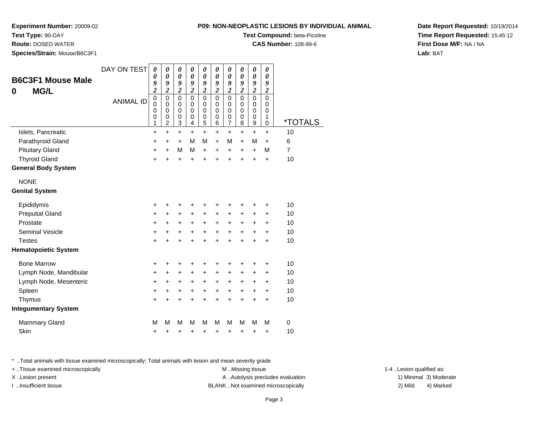### **Test Type:** 90-DAY

**Route:** DOSED WATER

**Species/Strain:** Mouse/B6C3F1

### **P09: NON-NEOPLASTIC LESIONS BY INDIVIDUAL ANIMAL**

**Test Compound:** beta-Picoline

**CAS Number:** 108-99-6

**Date Report Requested:** 10/19/2014**Time Report Requested:** 15:45:12**First Dose M/F:** NA / NA**Lab:** BAT

| <b>B6C3F1 Mouse Male</b><br><b>MG/L</b><br>0 | DAY ON TEST<br><b>ANIMAL ID</b> | 0<br>0<br>9<br>$\overline{\mathbf{c}}$<br>$\pmb{0}$<br>$\mathbf 0$<br>0<br>0<br>1 | 0<br>$\boldsymbol{\theta}$<br>9<br>$\overline{\mathbf{c}}$<br>$\mathbf 0$<br>$\mathbf 0$<br>$\mathbf 0$<br>$\boldsymbol{0}$<br>$\overline{2}$ | 0<br>$\boldsymbol{\theta}$<br>9<br>$\overline{\mathbf{c}}$<br>$\mathbf 0$<br>$\mathbf 0$<br>$\mathbf 0$<br>$\pmb{0}$<br>$\overline{3}$ | 0<br>$\boldsymbol{\theta}$<br>9<br>$\overline{\mathbf{c}}$<br>$\mathbf 0$<br>$\mathbf 0$<br>$\mathbf 0$<br>0<br>4 | 0<br>$\boldsymbol{\theta}$<br>9<br>$\overline{\mathbf{c}}$<br>$\mathbf 0$<br>0<br>$\mathbf 0$<br>$\pmb{0}$<br>5 | 0<br>0<br>9<br>$\overline{\mathbf{c}}$<br>$\mathbf 0$<br>0<br>$\mathbf 0$<br>0<br>6 | 0<br>0<br>9<br>$\overline{\mathbf{c}}$<br>$\mathbf 0$<br>$\mathbf 0$<br>0<br>$\boldsymbol{0}$<br>$\overline{7}$ | 0<br>0<br>9<br>$\boldsymbol{2}$<br>$\mathbf 0$<br>0<br>$\mathbf 0$<br>$\pmb{0}$<br>8 | 0<br>$\boldsymbol{\theta}$<br>9<br>$\overline{\mathbf{c}}$<br>$\mathbf 0$<br>$\mathbf 0$<br>$\mathbf 0$<br>$\mathbf 0$<br>$\overline{9}$ | 0<br>0<br>9<br>$\overline{\mathbf{c}}$<br>$\mathbf 0$<br>0<br>0<br>1<br>0 | <i><b>*TOTALS</b></i> |
|----------------------------------------------|---------------------------------|-----------------------------------------------------------------------------------|-----------------------------------------------------------------------------------------------------------------------------------------------|----------------------------------------------------------------------------------------------------------------------------------------|-------------------------------------------------------------------------------------------------------------------|-----------------------------------------------------------------------------------------------------------------|-------------------------------------------------------------------------------------|-----------------------------------------------------------------------------------------------------------------|--------------------------------------------------------------------------------------|------------------------------------------------------------------------------------------------------------------------------------------|---------------------------------------------------------------------------|-----------------------|
| Islets, Pancreatic                           |                                 | $\ddot{}$                                                                         | $\ddot{}$                                                                                                                                     | $\ddot{}$                                                                                                                              | +                                                                                                                 | $\ddot{}$                                                                                                       | $\ddot{}$                                                                           | $\ddot{}$                                                                                                       | $\ddot{}$                                                                            | $\ddot{}$                                                                                                                                | $\ddot{}$                                                                 | 10                    |
| Parathyroid Gland                            |                                 | +                                                                                 | +                                                                                                                                             | $\ddot{}$                                                                                                                              | M                                                                                                                 | M                                                                                                               | $\ddot{}$                                                                           | M                                                                                                               | $+$                                                                                  | M                                                                                                                                        | $\ddot{}$                                                                 | 6                     |
| <b>Pituitary Gland</b>                       |                                 | +                                                                                 | $\ddot{}$                                                                                                                                     | M                                                                                                                                      | M                                                                                                                 | $\ddot{}$                                                                                                       | $\ddot{}$                                                                           | $\ddot{}$                                                                                                       | $\ddot{}$                                                                            | $\ddot{}$                                                                                                                                | M                                                                         | 7                     |
| <b>Thyroid Gland</b>                         |                                 | $\ddot{}$                                                                         | $\ddot{}$                                                                                                                                     | $\ddot{}$                                                                                                                              | $\ddot{}$                                                                                                         | $\ddot{}$                                                                                                       |                                                                                     | $\ddot{}$                                                                                                       | $\ddot{}$                                                                            | $\ddot{}$                                                                                                                                | $\ddot{}$                                                                 | 10                    |
| <b>General Body System</b>                   |                                 |                                                                                   |                                                                                                                                               |                                                                                                                                        |                                                                                                                   |                                                                                                                 |                                                                                     |                                                                                                                 |                                                                                      |                                                                                                                                          |                                                                           |                       |
| <b>NONE</b>                                  |                                 |                                                                                   |                                                                                                                                               |                                                                                                                                        |                                                                                                                   |                                                                                                                 |                                                                                     |                                                                                                                 |                                                                                      |                                                                                                                                          |                                                                           |                       |
| <b>Genital System</b>                        |                                 |                                                                                   |                                                                                                                                               |                                                                                                                                        |                                                                                                                   |                                                                                                                 |                                                                                     |                                                                                                                 |                                                                                      |                                                                                                                                          |                                                                           |                       |
| Epididymis                                   |                                 | +                                                                                 | +                                                                                                                                             | +                                                                                                                                      | +                                                                                                                 | +                                                                                                               | +                                                                                   | +                                                                                                               | +                                                                                    | +                                                                                                                                        | +                                                                         | 10                    |
| <b>Preputial Gland</b>                       |                                 | +                                                                                 | +                                                                                                                                             | +                                                                                                                                      | +                                                                                                                 | $\ddot{}$                                                                                                       | +                                                                                   | $\ddot{}$                                                                                                       | +                                                                                    | +                                                                                                                                        | $\ddot{}$                                                                 | 10                    |
| Prostate                                     |                                 | +                                                                                 | +                                                                                                                                             | +                                                                                                                                      | +                                                                                                                 | $\ddot{}$                                                                                                       | $\ddot{}$                                                                           | $\ddot{}$                                                                                                       | +                                                                                    | +                                                                                                                                        | $\ddot{}$                                                                 | 10                    |
| <b>Seminal Vesicle</b>                       |                                 | +                                                                                 | +                                                                                                                                             | $\ddot{}$                                                                                                                              | $\ddot{}$                                                                                                         | $\ddot{}$                                                                                                       | $\ddot{}$                                                                           | $\ddot{}$                                                                                                       | $\ddot{}$                                                                            | $\ddot{}$                                                                                                                                | $\ddot{}$                                                                 | 10                    |
| <b>Testes</b>                                |                                 | +                                                                                 | $\ddot{}$                                                                                                                                     | $\ddot{}$                                                                                                                              | $\ddot{}$                                                                                                         | $\ddot{}$                                                                                                       | $\ddot{}$                                                                           | +                                                                                                               | $\ddot{}$                                                                            | $\ddot{}$                                                                                                                                | $\ddot{}$                                                                 | 10                    |
| <b>Hematopoietic System</b>                  |                                 |                                                                                   |                                                                                                                                               |                                                                                                                                        |                                                                                                                   |                                                                                                                 |                                                                                     |                                                                                                                 |                                                                                      |                                                                                                                                          |                                                                           |                       |
| <b>Bone Marrow</b>                           |                                 | +                                                                                 | +                                                                                                                                             | +                                                                                                                                      | +                                                                                                                 | +                                                                                                               | +                                                                                   | +                                                                                                               | +                                                                                    | +                                                                                                                                        | +                                                                         | 10                    |
| Lymph Node, Mandibular                       |                                 | +                                                                                 | +                                                                                                                                             | +                                                                                                                                      | +                                                                                                                 | +                                                                                                               | +                                                                                   | +                                                                                                               | +                                                                                    | +                                                                                                                                        | +                                                                         | 10                    |
| Lymph Node, Mesenteric                       |                                 | +                                                                                 | +                                                                                                                                             | +                                                                                                                                      | +                                                                                                                 | +                                                                                                               | +                                                                                   | +                                                                                                               | +                                                                                    | +                                                                                                                                        | +                                                                         | 10                    |
| Spleen                                       |                                 | +                                                                                 | +                                                                                                                                             | +                                                                                                                                      | +                                                                                                                 | $\ddot{}$                                                                                                       | $\ddot{}$                                                                           | $\ddot{}$                                                                                                       | $\ddot{}$                                                                            | $\ddot{}$                                                                                                                                | $\ddot{}$                                                                 | 10                    |
| Thymus                                       |                                 | $\ddot{}$                                                                         | $\ddot{}$                                                                                                                                     | $\ddot{}$                                                                                                                              | $\ddot{}$                                                                                                         | $\ddot{}$                                                                                                       | $\ddot{}$                                                                           | $\ddot{}$                                                                                                       | ÷                                                                                    | $\ddot{}$                                                                                                                                | $\ddot{}$                                                                 | 10                    |
| <b>Integumentary System</b>                  |                                 |                                                                                   |                                                                                                                                               |                                                                                                                                        |                                                                                                                   |                                                                                                                 |                                                                                     |                                                                                                                 |                                                                                      |                                                                                                                                          |                                                                           |                       |
| <b>Mammary Gland</b>                         |                                 | M                                                                                 | М                                                                                                                                             | M                                                                                                                                      | M                                                                                                                 | M                                                                                                               | M                                                                                   | М                                                                                                               | М                                                                                    | м                                                                                                                                        | M                                                                         | $\pmb{0}$             |
| Skin                                         |                                 | +                                                                                 | +                                                                                                                                             | +                                                                                                                                      | +                                                                                                                 | +                                                                                                               | +                                                                                   | +                                                                                                               | +                                                                                    | +                                                                                                                                        | +                                                                         | 10                    |

\* ..Total animals with tissue examined microscopically; Total animals with lesion and mean severity grade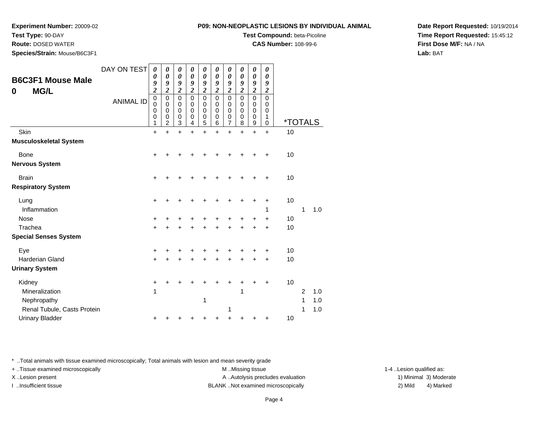# **Test Type:** 90-DAY

**Route:** DOSED WATER

**Species/Strain:** Mouse/B6C3F1

### **P09: NON-NEOPLASTIC LESIONS BY INDIVIDUAL ANIMAL**

**Test Compound:** beta-Picoline

**CAS Number:** 108-99-6

**Date Report Requested:** 10/19/2014**Time Report Requested:** 15:45:12**First Dose M/F:** NA / NA**Lab:** BAT

| <b>B6C3F1 Mouse Male</b><br><b>MG/L</b><br>0 | DAY ON TEST      | 0<br>0<br>9<br>$\overline{\mathbf{c}}$ | 0<br>0<br>9<br>$\overline{\mathbf{c}}$ | 0<br>0<br>9<br>$\overline{\mathbf{c}}$       | 0<br>0<br>9<br>$\overline{2}$   | 0<br>0<br>9<br>$\overline{c}$   | 0<br>0<br>9<br>$\overline{\mathbf{c}}$ | 0<br>0<br>9<br>$\overline{\mathbf{c}}$ | 0<br>$\boldsymbol{\theta}$<br>9<br>$\overline{2}$ | 0<br>0<br>9<br>$\overline{2}$   | 0<br>$\boldsymbol{\theta}$<br>9<br>$\overline{2}$ |                       |                |     |  |
|----------------------------------------------|------------------|----------------------------------------|----------------------------------------|----------------------------------------------|---------------------------------|---------------------------------|----------------------------------------|----------------------------------------|---------------------------------------------------|---------------------------------|---------------------------------------------------|-----------------------|----------------|-----|--|
|                                              | <b>ANIMAL ID</b> | $\pmb{0}$<br>0<br>0<br>0<br>1          | $\pmb{0}$<br>0<br>0<br>0<br>2          | $\overline{0}$<br>0<br>$\mathbf 0$<br>0<br>3 | $\mathbf 0$<br>0<br>0<br>0<br>4 | $\mathbf 0$<br>0<br>0<br>0<br>5 | $\mathsf 0$<br>0<br>0<br>0<br>6        | $\mathbf 0$<br>0<br>0<br>0<br>7        | $\mathbf 0$<br>0<br>0<br>0<br>8                   | $\mathbf 0$<br>0<br>0<br>0<br>9 | $\mathbf 0$<br>0<br>0<br>1<br>$\Omega$            | <i><b>*TOTALS</b></i> |                |     |  |
| Skin                                         |                  | $\ddot{}$                              | $\ddot{}$                              | $\ddot{}$                                    | $\ddot{}$                       | $\ddot{}$                       | $\ddot{}$                              | $\ddot{}$                              | $\ddot{}$                                         | $\ddot{}$                       | $+$                                               | 10                    |                |     |  |
| <b>Musculoskeletal System</b>                |                  |                                        |                                        |                                              |                                 |                                 |                                        |                                        |                                                   |                                 |                                                   |                       |                |     |  |
| <b>Bone</b>                                  |                  | $\ddot{}$                              |                                        |                                              | +                               | +                               | +                                      | +                                      | +                                                 | +                               | $\ddot{}$                                         | 10                    |                |     |  |
| <b>Nervous System</b>                        |                  |                                        |                                        |                                              |                                 |                                 |                                        |                                        |                                                   |                                 |                                                   |                       |                |     |  |
| <b>Brain</b>                                 |                  | +                                      |                                        |                                              |                                 |                                 |                                        |                                        |                                                   |                                 |                                                   | 10                    |                |     |  |
| <b>Respiratory System</b>                    |                  |                                        |                                        |                                              |                                 |                                 |                                        |                                        |                                                   |                                 |                                                   |                       |                |     |  |
| Lung                                         |                  | $\ddot{}$                              |                                        |                                              |                                 |                                 |                                        | +                                      | +                                                 | +                               | +                                                 | 10                    |                |     |  |
| Inflammation                                 |                  |                                        |                                        |                                              |                                 |                                 |                                        |                                        |                                                   |                                 | 1                                                 |                       | 1              | 1.0 |  |
| <b>Nose</b>                                  |                  | +                                      |                                        |                                              |                                 |                                 |                                        |                                        | +                                                 | +                               | +                                                 | 10                    |                |     |  |
| Trachea                                      |                  | $\ddot{}$                              |                                        |                                              | +                               | +                               | +                                      |                                        | +                                                 |                                 | $\ddot{}$                                         | 10                    |                |     |  |
| <b>Special Senses System</b>                 |                  |                                        |                                        |                                              |                                 |                                 |                                        |                                        |                                                   |                                 |                                                   |                       |                |     |  |
| Eye                                          |                  | +                                      |                                        |                                              |                                 |                                 | +                                      |                                        | +                                                 |                                 | +                                                 | 10                    |                |     |  |
| <b>Harderian Gland</b>                       |                  | $\ddot{}$                              |                                        | +                                            | +                               | +                               | $\ddot{}$                              | +                                      | $\ddot{}$                                         | $\ddot{}$                       | $\ddot{}$                                         | 10                    |                |     |  |
| <b>Urinary System</b>                        |                  |                                        |                                        |                                              |                                 |                                 |                                        |                                        |                                                   |                                 |                                                   |                       |                |     |  |
| Kidney                                       |                  | +                                      |                                        |                                              | ┿                               | +                               | +                                      | +                                      | +                                                 | +                               | +                                                 | 10                    |                |     |  |
| Mineralization                               |                  | 1                                      |                                        |                                              |                                 |                                 |                                        |                                        | 1                                                 |                                 |                                                   |                       | $\overline{2}$ | 1.0 |  |
| Nephropathy                                  |                  |                                        |                                        |                                              |                                 | 1                               |                                        |                                        |                                                   |                                 |                                                   |                       | 1              | 1.0 |  |
| Renal Tubule, Casts Protein                  |                  |                                        |                                        |                                              |                                 |                                 |                                        | 1                                      |                                                   |                                 |                                                   |                       | 1              | 1.0 |  |
| <b>Urinary Bladder</b>                       |                  |                                        |                                        |                                              |                                 | +                               | +                                      |                                        |                                                   |                                 | +                                                 | 10                    |                |     |  |

\* ..Total animals with tissue examined microscopically; Total animals with lesion and mean severity grade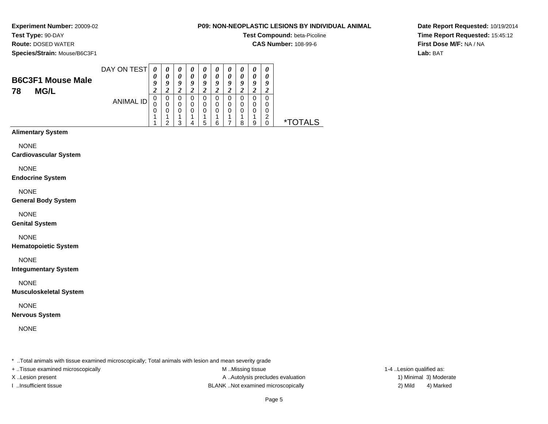# **Test Type:** 90-DAY

**Route:** DOSED WATER

**Species/Strain:** Mouse/B6C3F1

### **P09: NON-NEOPLASTIC LESIONS BY INDIVIDUAL ANIMAL**

**Test Compound:** beta-Picoline

**CAS Number:** 108-99-6

**Date Report Requested:** 10/19/2014**Time Report Requested:** 15:45:12**First Dose M/F:** NA / NA**Lab:** BAT

| <b>B6C3F1 Mouse Male</b><br><b>MG/L</b><br>78 | DAY ON TEST | $\boldsymbol{\mathit{U}}$ | $\boldsymbol{\theta}$<br>o | $\boldsymbol{\theta}$<br>$\boldsymbol{\theta}$<br>9 | $\boldsymbol{\theta}$<br>o | $\boldsymbol{\theta}$<br>0<br>Q<br>∠ | U<br>0<br>a | $\boldsymbol{\theta}$<br>0<br>9<br>σ<br>◢ | $\boldsymbol{\theta}$<br>0<br>o | $\boldsymbol{\theta}$<br>0<br>Q<br>∠ | U<br>$\boldsymbol{\theta}$<br>9<br>∠ |   |
|-----------------------------------------------|-------------|---------------------------|----------------------------|-----------------------------------------------------|----------------------------|--------------------------------------|-------------|-------------------------------------------|---------------------------------|--------------------------------------|--------------------------------------|---|
|                                               | ANIMAL ID   | 0<br>U<br>0               | 0                          | 0<br>0<br>0<br>っ                                    | O<br>0                     | 0<br>0<br>0<br>b                     |             | 0<br>0<br>0                               | $\Omega$<br>0<br>ი<br>я         | 0<br>0<br>0<br>9                     | 0<br>0<br>0<br>◠                     | * |

### **Alimentary System**

NONE

### **Cardiovascular System**

NONE

### **Endocrine System**

NONE

### **General Body System**

NONE

### **Genital System**

### NONE

**Hematopoietic System**

NONE

### **Integumentary System**

NONE

### **Musculoskeletal System**

NONE

### **Nervous System**

NONE

\* ..Total animals with tissue examined microscopically; Total animals with lesion and mean severity grade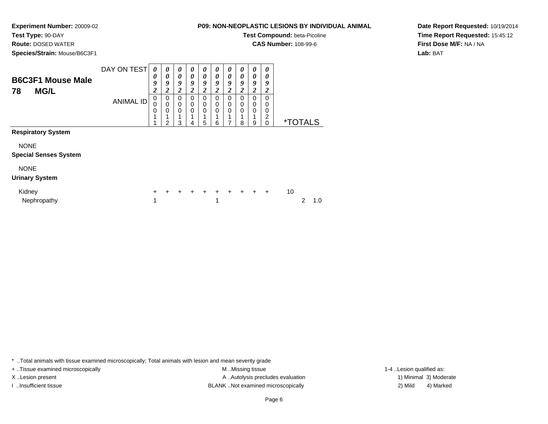**Test Type:** 90-DAY

**Route:** DOSED WATER

**Species/Strain:** Mouse/B6C3F1

### **P09: NON-NEOPLASTIC LESIONS BY INDIVIDUAL ANIMAL**

**Test Compound:** beta-Picoline

**CAS Number:** 108-99-6

**Date Report Requested:** 10/19/2014**Time Report Requested:** 15:45:12**First Dose M/F:** NA / NA**Lab:** BAT

| <b>B6C3F1 Mouse Male</b><br><b>MG/L</b><br>78 | DAY ON TEST<br><b>ANIMAL ID</b> | $\boldsymbol{\theta}$<br>0<br>9<br>$\boldsymbol{2}$<br>0<br>$\mathbf 0$<br>0 | $\boldsymbol{\theta}$<br>0<br>9<br>$\boldsymbol{2}$<br>0<br>$\mathbf 0$<br>0 | 0<br>$\boldsymbol{\theta}$<br>9<br>2<br>0<br>$\mathbf 0$<br>0 | 0<br>0<br>9<br>2<br>0<br>0<br>$\mathbf 0$ | 0<br>$\boldsymbol{\theta}$<br>9<br>2<br>0<br>0<br>0 | $\boldsymbol{\theta}$<br>$\boldsymbol{\theta}$<br>9<br>2<br>0<br>$\mathbf 0$<br>$\mathbf 0$ | 0<br>0<br>9<br>2<br>0<br>0<br>0 | $\boldsymbol{\theta}$<br>$\boldsymbol{\theta}$<br>9<br>$\boldsymbol{2}$<br>0<br>0<br>0 | 0<br>0<br>9<br>2<br>0<br>0<br>0 | $\boldsymbol{\theta}$<br>0<br>9<br>$\boldsymbol{2}$<br>0<br>0<br>0<br>2 |                       |   |     |
|-----------------------------------------------|---------------------------------|------------------------------------------------------------------------------|------------------------------------------------------------------------------|---------------------------------------------------------------|-------------------------------------------|-----------------------------------------------------|---------------------------------------------------------------------------------------------|---------------------------------|----------------------------------------------------------------------------------------|---------------------------------|-------------------------------------------------------------------------|-----------------------|---|-----|
|                                               |                                 |                                                                              | 2                                                                            | 3                                                             | 4                                         | 5                                                   | 6                                                                                           |                                 | 8                                                                                      | 9                               | $\mathbf 0$                                                             | <i><b>*TOTALS</b></i> |   |     |
| <b>Respiratory System</b>                     |                                 |                                                                              |                                                                              |                                                               |                                           |                                                     |                                                                                             |                                 |                                                                                        |                                 |                                                                         |                       |   |     |
| <b>NONE</b><br><b>Special Senses System</b>   |                                 |                                                                              |                                                                              |                                                               |                                           |                                                     |                                                                                             |                                 |                                                                                        |                                 |                                                                         |                       |   |     |
| <b>NONE</b>                                   |                                 |                                                                              |                                                                              |                                                               |                                           |                                                     |                                                                                             |                                 |                                                                                        |                                 |                                                                         |                       |   |     |
| <b>Urinary System</b>                         |                                 |                                                                              |                                                                              |                                                               |                                           |                                                     |                                                                                             |                                 |                                                                                        |                                 |                                                                         |                       |   |     |
| Kidney<br>Nephropathy                         |                                 | $\ddot{}$<br>1                                                               |                                                                              | +                                                             | $\ddot{+}$                                | $\ddot{}$                                           | $\ddot{}$<br>1                                                                              | $\ddot{}$                       |                                                                                        | $+$ $+$                         | $\ddot{}$                                                               | 10                    | 2 | 1.0 |

\* ..Total animals with tissue examined microscopically; Total animals with lesion and mean severity grade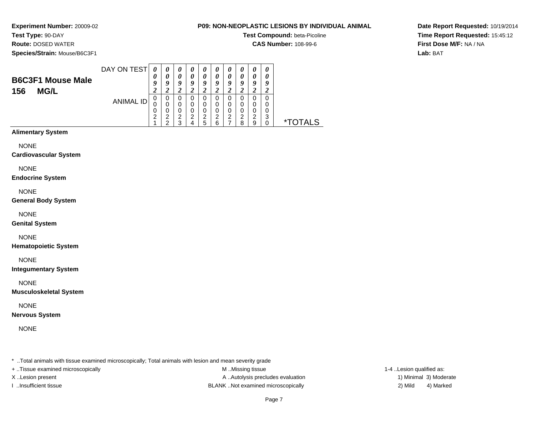# **Test Type:** 90-DAY

**Route:** DOSED WATER

**Species/Strain:** Mouse/B6C3F1

### **P09: NON-NEOPLASTIC LESIONS BY INDIVIDUAL ANIMAL**

**Test Compound:** beta-Picoline

**CAS Number:** 108-99-6

**Date Report Requested:** 10/19/2014**Time Report Requested:** 15:45:12**First Dose M/F:** NA / NA**Lab:** BAT

| <b>B6C3F1 Mouse Male</b><br><b>MG/L</b><br>156 | DAY ON TEST | 0<br>Q<br>ኅ<br>∠ |                  | $\boldsymbol{v}$<br>0<br>9<br>ി |   | U<br>$\boldsymbol{\theta}$<br>O | U<br>9 | U<br>$\boldsymbol{\theta}$<br>a<br>2 | U<br>o                 | $\boldsymbol{\theta}$<br>0<br>O | 0<br>o |             |
|------------------------------------------------|-------------|------------------|------------------|---------------------------------|---|---------------------------------|--------|--------------------------------------|------------------------|---------------------------------|--------|-------------|
|                                                | ANIMAL ID   | υ<br>U<br>U<br>2 | υ<br>U<br>◠<br>◠ | 0<br>0<br>0<br>2<br>ົ           | ົ | റ<br>5                          | ົ<br>6 | 0<br>0<br>0<br>2                     | 0<br>0<br>⌒<br>$\circ$ | 0<br>0<br>0<br>າ<br>9           | ົ<br>w | ∗⊤<br>TAI S |

### **Alimentary System**

NONE

**Cardiovascular System**

NONE

**Endocrine System**

NONE

**General Body System**

NONE

**Genital System**

NONE

**Hematopoietic System**

NONE

**Integumentary System**

NONE

**Musculoskeletal System**

NONE

**Nervous System**

NONE

\* ..Total animals with tissue examined microscopically; Total animals with lesion and mean severity grade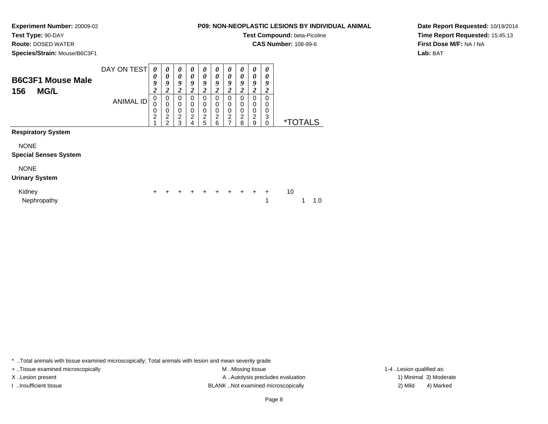**Test Type:** 90-DAY

**Route:** DOSED WATER

**Species/Strain:** Mouse/B6C3F1

**P09: NON-NEOPLASTIC LESIONS BY INDIVIDUAL ANIMAL**

**Test Compound:** beta-Picoline

**CAS Number:** 108-99-6

**Date Report Requested:** 10/19/2014**Time Report Requested:** 15:45:13**First Dose M/F:** NA / NA**Lab:** BAT

| <b>B6C3F1 Mouse Male</b>     | DAY ON TEST      | 0<br>0                        | 0<br>$\boldsymbol{\theta}$                       | $\boldsymbol{\theta}$<br>$\boldsymbol{\theta}$ | 0<br>0                          | 0<br>0                | 0<br>0                | 0<br>0                             | 0<br>0                | 0<br>0                                    | 0<br>0                |                       |     |  |
|------------------------------|------------------|-------------------------------|--------------------------------------------------|------------------------------------------------|---------------------------------|-----------------------|-----------------------|------------------------------------|-----------------------|-------------------------------------------|-----------------------|-----------------------|-----|--|
| <b>MG/L</b><br>156           |                  | 9<br>2                        | 9<br>$\overline{\mathbf{c}}$                     | 9<br>2                                         | 9<br>2                          | 9<br>2                | 9<br>2                | 9<br>2                             | 9<br>2                | 9<br>2                                    | 9<br>2                |                       |     |  |
|                              | <b>ANIMAL ID</b> | 0<br>0<br>0<br>$\overline{c}$ | 0<br>$\mathbf 0$<br>$\mathbf 0$<br>$\frac{2}{2}$ | 0<br>0<br>$\mathbf 0$<br>$\overline{2}$<br>3   | 0<br>0<br>$\mathbf 0$<br>2<br>4 | 0<br>0<br>0<br>2<br>5 | 0<br>0<br>0<br>2<br>6 | 0<br>0<br>0<br>$\overline{c}$<br>7 | 0<br>0<br>0<br>2<br>8 | 0<br>$\Omega$<br>0<br>$\overline{c}$<br>9 | 0<br>0<br>0<br>3<br>0 | <i><b>*TOTALS</b></i> |     |  |
| <b>Respiratory System</b>    |                  |                               |                                                  |                                                |                                 |                       |                       |                                    |                       |                                           |                       |                       |     |  |
| <b>NONE</b>                  |                  |                               |                                                  |                                                |                                 |                       |                       |                                    |                       |                                           |                       |                       |     |  |
| <b>Special Senses System</b> |                  |                               |                                                  |                                                |                                 |                       |                       |                                    |                       |                                           |                       |                       |     |  |
| <b>NONE</b>                  |                  |                               |                                                  |                                                |                                 |                       |                       |                                    |                       |                                           |                       |                       |     |  |
| <b>Urinary System</b>        |                  |                               |                                                  |                                                |                                 |                       |                       |                                    |                       |                                           |                       |                       |     |  |
| Kidney<br>Nephropathy        |                  | +                             |                                                  |                                                |                                 |                       |                       |                                    |                       | $+$                                       | $\ddot{}$<br>1        | 10                    | 1.0 |  |

\* ..Total animals with tissue examined microscopically; Total animals with lesion and mean severity grade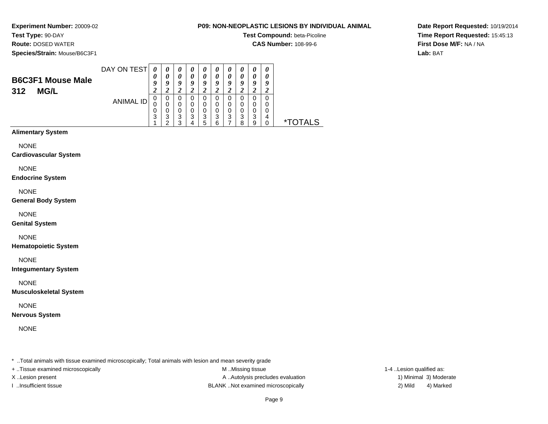# **Test Type:** 90-DAY

**Route:** DOSED WATER

**Species/Strain:** Mouse/B6C3F1

### **P09: NON-NEOPLASTIC LESIONS BY INDIVIDUAL ANIMAL**

**Test Compound:** beta-Picoline

**CAS Number:** 108-99-6

**Date Report Requested:** 10/19/2014**Time Report Requested:** 15:45:13**First Dose M/F:** NA / NA**Lab:** BAT

| <b>B6C3F1 Mouse Male</b><br>312<br><b>MG/L</b> | DAY ON TEST | 0<br>$\boldsymbol{\mathit{U}}$<br>o | $\boldsymbol{\theta}$<br>U<br>U | $\boldsymbol{\theta}$<br>0<br>9 | U<br>U<br>ч      | U<br>0<br>у           | U<br>U<br>ч      | $\boldsymbol{\theta}$<br>0<br>9 |             | o                | o |         |
|------------------------------------------------|-------------|-------------------------------------|---------------------------------|---------------------------------|------------------|-----------------------|------------------|---------------------------------|-------------|------------------|---|---------|
|                                                | ANIMAL ID   | 0<br>U<br>0<br>3                    | 0<br>0<br>0<br>3<br>◠           | O<br>0<br>0<br>3<br>っ           | O<br>0<br>O<br>3 | U<br>0<br>0<br>3<br>5 | 0<br>O<br>3<br>6 | 0<br>0<br>0<br>3                | 0<br>3<br>я | 0<br>0<br>3<br>9 | 4 | *TOTALS |

### **Alimentary System**

NONE

#### **Cardiovascular System**

NONE

#### **Endocrine System**

NONE

### **General Body System**

NONE

### **Genital System**

NONE

### **Hematopoietic System**

NONE

### **Integumentary System**

NONE

### **Musculoskeletal System**

NONE

### **Nervous System**

NONE

\* ..Total animals with tissue examined microscopically; Total animals with lesion and mean severity grade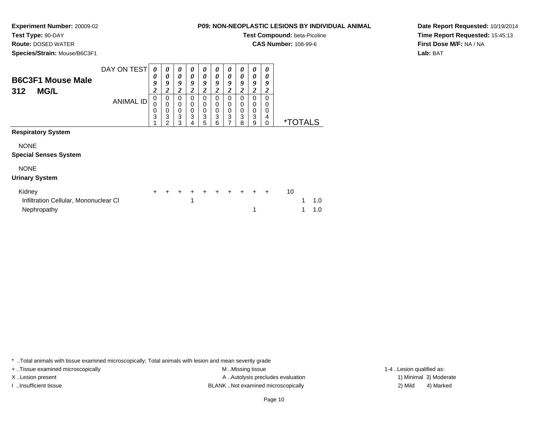# **Test Type:** 90-DAY

**Route:** DOSED WATER

**Species/Strain:** Mouse/B6C3F1

### **P09: NON-NEOPLASTIC LESIONS BY INDIVIDUAL ANIMAL**

**Test Compound:** beta-Picoline

**CAS Number:** 108-99-6

**Date Report Requested:** 10/19/2014**Time Report Requested:** 15:45:13**First Dose M/F:** NA / NA**Lab:** BAT

| <b>B6C3F1 Mouse Male</b><br><b>MG/L</b><br>312 | DAY ON TEST      | 0<br>0<br>9<br>$\overline{2}$ | 0<br>0<br>9<br>2                             | 0<br>$\theta$<br>9<br>2                   | 0<br>$\boldsymbol{\theta}$<br>9<br>2<br>0                     | 0<br>$\boldsymbol{\theta}$<br>9<br>2 | 0<br>0<br>9<br>$\overline{\mathbf{2}}$ | 0<br>0<br>9<br>2      | 0<br>0<br>9<br>$\boldsymbol{2}$               | 0<br>0<br>9<br>2<br>0 | 0<br>0<br>9<br>2             |    |                       |     |  |
|------------------------------------------------|------------------|-------------------------------|----------------------------------------------|-------------------------------------------|---------------------------------------------------------------|--------------------------------------|----------------------------------------|-----------------------|-----------------------------------------------|-----------------------|------------------------------|----|-----------------------|-----|--|
|                                                | <b>ANIMAL ID</b> | 0<br>0<br>0<br>3              | 0<br>$\mathbf 0$<br>0<br>3<br>$\overline{2}$ | 0<br>$\mathbf 0$<br>$\mathbf 0$<br>3<br>3 | $\pmb{0}$<br>$\begin{smallmatrix}0\0\3\end{smallmatrix}$<br>4 | 0<br>0<br>0<br>3<br>5                | 0<br>0<br>0<br>3<br>6                  | 0<br>0<br>0<br>3<br>7 | 0<br>0<br>0<br>$\ensuremath{\mathsf{3}}$<br>8 | 0<br>0<br>3<br>9      | 0<br>0<br>0<br>4<br>$\Omega$ |    | <i><b>*TOTALS</b></i> |     |  |
| <b>Respiratory System</b>                      |                  |                               |                                              |                                           |                                                               |                                      |                                        |                       |                                               |                       |                              |    |                       |     |  |
| <b>NONE</b>                                    |                  |                               |                                              |                                           |                                                               |                                      |                                        |                       |                                               |                       |                              |    |                       |     |  |
| <b>Special Senses System</b>                   |                  |                               |                                              |                                           |                                                               |                                      |                                        |                       |                                               |                       |                              |    |                       |     |  |
| <b>NONE</b>                                    |                  |                               |                                              |                                           |                                                               |                                      |                                        |                       |                                               |                       |                              |    |                       |     |  |
| <b>Urinary System</b>                          |                  |                               |                                              |                                           |                                                               |                                      |                                        |                       |                                               |                       |                              |    |                       |     |  |
| Kidney                                         |                  | $\ddot{}$                     | $\div$                                       | $\div$                                    | +                                                             |                                      | $\ddot{}$                              | $\ddot{}$             |                                               | $+$                   | $\ddot{}$                    | 10 |                       |     |  |
| Infiltration Cellular, Mononuclear CI          |                  |                               |                                              |                                           | 1                                                             |                                      |                                        |                       |                                               |                       |                              |    | 1                     | 1.0 |  |
| Nephropathy                                    |                  |                               |                                              |                                           |                                                               |                                      |                                        |                       |                                               |                       |                              |    |                       | 1.0 |  |

\* ..Total animals with tissue examined microscopically; Total animals with lesion and mean severity grade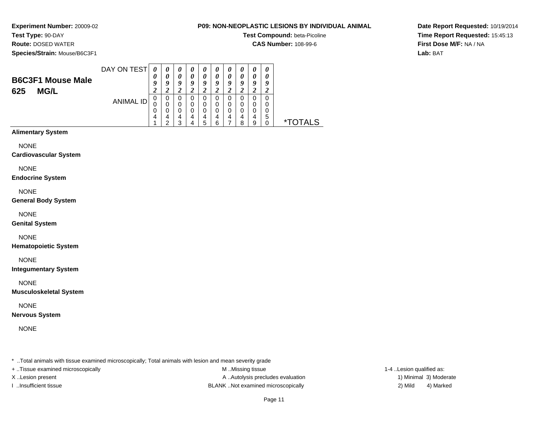# **Test Type:** 90-DAY

**Route:** DOSED WATER

**Species/Strain:** Mouse/B6C3F1

### **P09: NON-NEOPLASTIC LESIONS BY INDIVIDUAL ANIMAL**

**Test Compound:** beta-Picoline

**CAS Number:** 108-99-6

**Date Report Requested:** 10/19/2014**Time Report Requested:** 15:45:13**First Dose M/F:** NA / NA**Lab:** BAT

| <b>B6C3F1 Mouse Male</b> | DAY ON TEST | q           | O      | $\boldsymbol{\theta}$<br>9 | U<br>O | $\boldsymbol{\theta}$<br>0<br>9<br>7 | v<br>0 | $\boldsymbol{\theta}$<br>$\boldsymbol{\theta}$<br>Q | $\boldsymbol{\theta}$<br>$\boldsymbol{\theta}$<br>Q | $\boldsymbol{\theta}$<br>0<br>9 | 0<br>o      |                       |
|--------------------------|-------------|-------------|--------|----------------------------|--------|--------------------------------------|--------|-----------------------------------------------------|-----------------------------------------------------|---------------------------------|-------------|-----------------------|
| <b>MG/L</b><br>625       | ANIMAL ID   | 0<br>U<br>0 | υ      | U<br>0<br>0                | U      | 0<br>0<br>0                          |        | 0                                                   |                                                     | 0<br>0<br>0                     | 0<br>0<br>0 |                       |
|                          |             | 4           | 4<br>◠ | 4<br>າ                     | 4      | 4<br>5                               | ี      | 4                                                   | 4<br>ິດ                                             | 4<br>9                          | 5           | TAI S<br>$\mathbf{x}$ |

### **Alimentary System**

NONE

### **Cardiovascular System**

NONE

### **Endocrine System**

NONE

### **General Body System**

NONE

### **Genital System**

NONE

### **Hematopoietic System**

NONE

### **Integumentary System**

NONE

### **Musculoskeletal System**

NONE

### **Nervous System**

NONE

\* ..Total animals with tissue examined microscopically; Total animals with lesion and mean severity grade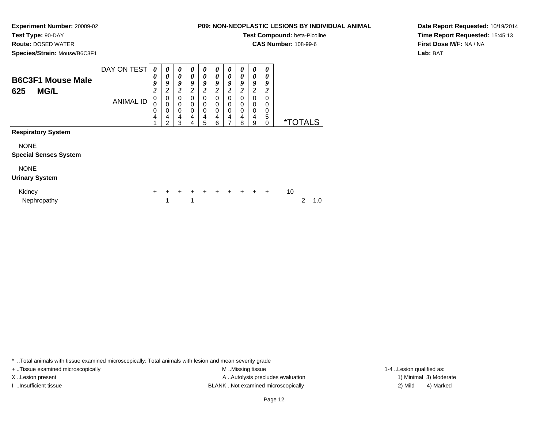# **Test Type:** 90-DAY

**Route:** DOSED WATER

**Species/Strain:** Mouse/B6C3F1

### **P09: NON-NEOPLASTIC LESIONS BY INDIVIDUAL ANIMAL**

**Test Compound:** beta-Picoline

**CAS Number:** 108-99-6

**Date Report Requested:** 10/19/2014**Time Report Requested:** 15:45:13**First Dose M/F:** NA / NA**Lab:** BAT

| <b>B6C3F1 Mouse Male</b><br><b>MG/L</b><br>625 | DAY ON TEST<br>ANIMAL ID | 0<br>0<br>9<br>$\boldsymbol{2}$<br>0<br>$\mathbf 0$<br>0 | 0<br>$\boldsymbol{\theta}$<br>9<br>2<br>0<br>$\Omega$<br>0 | $\boldsymbol{\theta}$<br>0<br>9<br>2<br>$\Omega$<br>0<br>$\mathbf 0$ | 0<br>$\boldsymbol{\theta}$<br>9<br>2<br>$\Omega$<br>0<br>0 | 0<br>0<br>9<br>2<br>0<br>0<br>$\mathbf 0$ | 0<br>$\boldsymbol{\theta}$<br>9<br>2<br>$\mathbf 0$<br>0<br>0 | 0<br>$\boldsymbol{\theta}$<br>9<br>2<br>0<br>0<br>0 | $\boldsymbol{\theta}$<br>$\boldsymbol{\theta}$<br>9<br>$\boldsymbol{2}$<br>0<br>$\mathbf 0$<br>0 | 0<br>0<br>9<br>2<br>0<br>0<br>0 | $\boldsymbol{\theta}$<br>0<br>9<br>2<br>0<br>0<br>0 |    |                       |     |
|------------------------------------------------|--------------------------|----------------------------------------------------------|------------------------------------------------------------|----------------------------------------------------------------------|------------------------------------------------------------|-------------------------------------------|---------------------------------------------------------------|-----------------------------------------------------|--------------------------------------------------------------------------------------------------|---------------------------------|-----------------------------------------------------|----|-----------------------|-----|
|                                                |                          | 4                                                        | 4<br>2                                                     | 4<br>3                                                               | 4<br>4                                                     | $\overline{4}$<br>5                       | $\overline{4}$<br>6                                           | 4<br>7                                              | 4<br>8                                                                                           | 4<br>9                          | 5<br>$\mathbf 0$                                    |    | <i><b>*TOTALS</b></i> |     |
| <b>Respiratory System</b>                      |                          |                                                          |                                                            |                                                                      |                                                            |                                           |                                                               |                                                     |                                                                                                  |                                 |                                                     |    |                       |     |
| <b>NONE</b>                                    |                          |                                                          |                                                            |                                                                      |                                                            |                                           |                                                               |                                                     |                                                                                                  |                                 |                                                     |    |                       |     |
| <b>Special Senses System</b>                   |                          |                                                          |                                                            |                                                                      |                                                            |                                           |                                                               |                                                     |                                                                                                  |                                 |                                                     |    |                       |     |
| <b>NONE</b>                                    |                          |                                                          |                                                            |                                                                      |                                                            |                                           |                                                               |                                                     |                                                                                                  |                                 |                                                     |    |                       |     |
| <b>Urinary System</b>                          |                          |                                                          |                                                            |                                                                      |                                                            |                                           |                                                               |                                                     |                                                                                                  |                                 |                                                     |    |                       |     |
| Kidney<br>Nephropathy                          |                          | $\pm$                                                    | 1                                                          |                                                                      | 1                                                          |                                           |                                                               | $\ddot{}$                                           | $\ddot{}$                                                                                        | $\ddot{}$                       | $\ddot{}$                                           | 10 | 2                     | 1.0 |

\* ..Total animals with tissue examined microscopically; Total animals with lesion and mean severity grade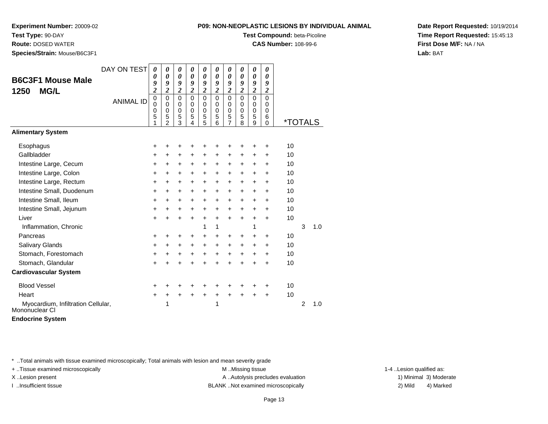**Test Type:** 90-DAY

**Route:** DOSED WATER

**Species/Strain:** Mouse/B6C3F1

### **P09: NON-NEOPLASTIC LESIONS BY INDIVIDUAL ANIMAL**

**Test Compound:** beta-Picoline

**CAS Number:** 108-99-6

**Date Report Requested:** 10/19/2014**Time Report Requested:** 15:45:13**First Dose M/F:** NA / NA**Lab:** BAT

| <b>B6C3F1 Mouse Male</b><br><b>MG/L</b><br>1250      | DAY ON TEST<br><b>ANIMAL ID</b> | 0<br>0<br>9<br>$\overline{\mathbf{c}}$<br>$\mathbf 0$<br>0<br>0 | 0<br>$\boldsymbol{\theta}$<br>9<br>$\overline{c}$<br>$\mathbf 0$<br>0<br>$\mathbf 0$ | $\boldsymbol{\theta}$<br>0<br>9<br>$\boldsymbol{2}$<br>$\mathbf 0$<br>0<br>$\mathbf 0$ | 0<br>$\boldsymbol{\theta}$<br>$\boldsymbol{g}$<br>$\overline{c}$<br>$\mathbf 0$<br>0<br>$\mathbf 0$ | 0<br>0<br>9<br>$\overline{c}$<br>$\mathbf 0$<br>0<br>$\mathbf 0$ | 0<br>0<br>9<br>$\overline{\mathbf{c}}$<br>$\mathbf 0$<br>0<br>$\mathbf 0$ | 0<br>0<br>9<br>$\overline{2}$<br>$\mathbf 0$<br>0<br>$\mathbf 0$ | 0<br>$\boldsymbol{\theta}$<br>9<br>$\overline{2}$<br>$\mathbf 0$<br>0<br>$\mathbf 0$ | 0<br>$\boldsymbol{\theta}$<br>9<br>$\overline{2}$<br>$\mathbf 0$<br>0<br>$\mathbf 0$ | 0<br>0<br>9<br>$\overline{2}$<br>$\Omega$<br>$\Omega$<br>0 |                       |                |     |
|------------------------------------------------------|---------------------------------|-----------------------------------------------------------------|--------------------------------------------------------------------------------------|----------------------------------------------------------------------------------------|-----------------------------------------------------------------------------------------------------|------------------------------------------------------------------|---------------------------------------------------------------------------|------------------------------------------------------------------|--------------------------------------------------------------------------------------|--------------------------------------------------------------------------------------|------------------------------------------------------------|-----------------------|----------------|-----|
|                                                      |                                 | 5                                                               | 5<br>2                                                                               | 5<br>3                                                                                 | 5<br>4                                                                                              | 5<br>5                                                           | 5<br>6                                                                    | 5<br>$\overline{7}$                                              | 5<br>8                                                                               | 5<br>9                                                                               | 6<br>$\mathbf 0$                                           | <i><b>*TOTALS</b></i> |                |     |
| <b>Alimentary System</b>                             |                                 |                                                                 |                                                                                      |                                                                                        |                                                                                                     |                                                                  |                                                                           |                                                                  |                                                                                      |                                                                                      |                                                            |                       |                |     |
| Esophagus                                            |                                 | +                                                               | +                                                                                    |                                                                                        | +                                                                                                   | +                                                                | +                                                                         | +                                                                | +                                                                                    |                                                                                      | +                                                          | 10                    |                |     |
| Gallbladder                                          |                                 | $\pm$                                                           | +                                                                                    | $\ddot{}$                                                                              | +                                                                                                   | $\ddot{}$                                                        | $\ddot{}$                                                                 | +                                                                | $\ddot{}$                                                                            | +                                                                                    | $\ddot{}$                                                  | 10                    |                |     |
| Intestine Large, Cecum                               |                                 | $\ddot{}$                                                       | $\ddot{}$                                                                            | $\ddot{}$                                                                              | $\ddot{}$                                                                                           | +                                                                | +                                                                         | $\ddot{}$                                                        | $\ddot{}$                                                                            | +                                                                                    | +                                                          | 10                    |                |     |
| Intestine Large, Colon                               |                                 | +                                                               | +                                                                                    | +                                                                                      | $\ddot{}$                                                                                           | $\ddot{}$                                                        | $\ddot{}$                                                                 | $\ddot{}$                                                        | $\ddot{}$                                                                            | +                                                                                    | +                                                          | 10                    |                |     |
| Intestine Large, Rectum                              |                                 | $\pm$                                                           | $\ddot{}$                                                                            | $\ddot{}$                                                                              | $\ddot{}$                                                                                           | $\ddot{}$                                                        | $\ddot{}$                                                                 | $+$                                                              | $+$                                                                                  | $\ddot{}$                                                                            | $\ddot{}$                                                  | 10                    |                |     |
| Intestine Small, Duodenum                            |                                 | $\ddot{}$                                                       | +                                                                                    | $\ddot{}$                                                                              | $\ddot{}$                                                                                           | +                                                                | +                                                                         | +                                                                | $\ddot{}$                                                                            | $\ddot{}$                                                                            | +                                                          | 10                    |                |     |
| Intestine Small, Ileum                               |                                 | +                                                               | $\ddot{}$                                                                            | +                                                                                      | $\ddot{}$                                                                                           | $\ddot{}$                                                        | $\ddot{}$                                                                 | $\ddot{}$                                                        | $\ddot{}$                                                                            | +                                                                                    | +                                                          | 10                    |                |     |
| Intestine Small, Jejunum                             |                                 | +                                                               | $\ddot{}$                                                                            | $\ddot{}$                                                                              | $\ddot{}$                                                                                           | $\ddot{}$                                                        | +                                                                         | $\ddot{}$                                                        | $\ddot{}$                                                                            | +                                                                                    | +                                                          | 10                    |                |     |
| Liver                                                |                                 | $\ddot{}$                                                       | +                                                                                    | $\ddot{}$                                                                              | $\ddot{}$                                                                                           | +                                                                | +                                                                         | $\ddot{}$                                                        | $+$                                                                                  | $\ddot{}$                                                                            | $\ddot{}$                                                  | 10                    |                |     |
| Inflammation, Chronic                                |                                 |                                                                 |                                                                                      |                                                                                        |                                                                                                     | 1                                                                | 1                                                                         |                                                                  |                                                                                      | 1                                                                                    |                                                            |                       | 3              | 1.0 |
| Pancreas                                             |                                 | +                                                               | ٠                                                                                    | ÷                                                                                      | +                                                                                                   | +                                                                | $\ddot{}$                                                                 | +                                                                | $\ddot{}$                                                                            | +                                                                                    | +                                                          | 10                    |                |     |
| Salivary Glands                                      |                                 | $\pm$                                                           | $\pm$                                                                                | $\ddot{}$                                                                              | +                                                                                                   | +                                                                | +                                                                         | $\ddot{}$                                                        | +                                                                                    | +                                                                                    | $\ddot{}$                                                  | 10                    |                |     |
| Stomach, Forestomach                                 |                                 | +                                                               | $\pm$                                                                                | +                                                                                      | +                                                                                                   | +                                                                | +                                                                         | $\ddot{}$                                                        | $\ddot{}$                                                                            | +                                                                                    | +                                                          | 10                    |                |     |
| Stomach, Glandular                                   |                                 | $\ddot{}$                                                       |                                                                                      | $\ddot{}$                                                                              | $\ddot{}$                                                                                           | $\ddot{}$                                                        | $\ddot{}$                                                                 | $\ddot{}$                                                        | $\ddot{}$                                                                            |                                                                                      | $\ddot{}$                                                  | 10                    |                |     |
| <b>Cardiovascular System</b>                         |                                 |                                                                 |                                                                                      |                                                                                        |                                                                                                     |                                                                  |                                                                           |                                                                  |                                                                                      |                                                                                      |                                                            |                       |                |     |
| <b>Blood Vessel</b>                                  |                                 | +                                                               |                                                                                      |                                                                                        |                                                                                                     |                                                                  | +                                                                         |                                                                  |                                                                                      |                                                                                      | +                                                          | 10                    |                |     |
| Heart                                                |                                 | $\pm$                                                           | +                                                                                    | $\ddot{}$                                                                              | +                                                                                                   | $\pm$                                                            | $\ddot{}$                                                                 | $\ddot{}$                                                        | $\ddot{}$                                                                            | $\ddot{}$                                                                            | $\ddot{}$                                                  | 10                    |                |     |
| Myocardium, Infiltration Cellular,<br>Mononuclear CI |                                 |                                                                 | 1                                                                                    |                                                                                        |                                                                                                     |                                                                  | 1                                                                         |                                                                  |                                                                                      |                                                                                      |                                                            |                       | $\overline{2}$ | 1.0 |

**Endocrine System**

\* ..Total animals with tissue examined microscopically; Total animals with lesion and mean severity grade

+ ..Tissue examined microscopically examined microscopically examined as:  $M$  ..Missing tissue 1-4 ..Lesion qualified as: X..Lesion present **A ..Autolysis precludes evaluation** A ..Autolysis precludes evaluation 1) Minimal 3) Moderate

I ..Insufficient tissue BLANK ..Not examined microscopically 2) Mild 4) Marked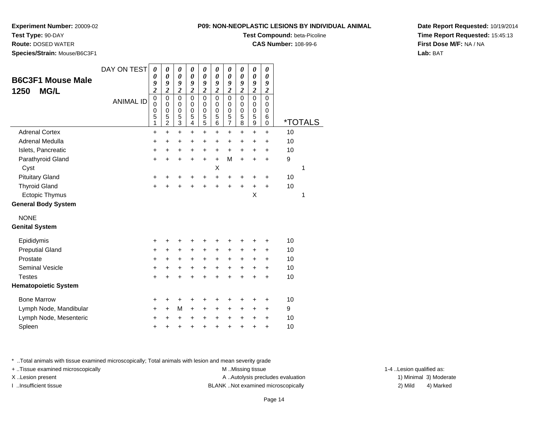# **Test Type:** 90-DAY

**Route:** DOSED WATER

**Species/Strain:** Mouse/B6C3F1

### **Test Compound:** beta-Picoline

**CAS Number:** 108-99-6

**Date Report Requested:** 10/19/2014**Time Report Requested:** 15:45:13**First Dose M/F:** NA / NA**Lab:** BAT

| <b>B6C3F1 Mouse Male</b><br><b>MG/L</b><br>1250 | DAY ON TEST<br><b>ANIMAL ID</b> | $\boldsymbol{\theta}$<br>$\boldsymbol{\theta}$<br>9<br>$\overline{c}$<br>$\mathbf 0$<br>$\Omega$<br>0<br>5 | 0<br>0<br>9<br>$\overline{2}$<br>0<br>$\mathbf 0$<br>0<br>5 | 0<br>0<br>9<br>$\overline{2}$<br>0<br>$\mathbf{0}$<br>0<br>5 | 0<br>0<br>9<br>$\overline{2}$<br>$\mathbf 0$<br>$\mathbf 0$<br>0<br>5 | 0<br>0<br>9<br>$\overline{2}$<br>0<br>$\Omega$<br>0<br>5 | 0<br>0<br>9<br>$\overline{2}$<br>$\mathbf 0$<br>$\mathbf 0$<br>0<br>5 | 0<br>0<br>9<br>$\overline{2}$<br>$\mathbf 0$<br>$\Omega$<br>0<br>5 | $\boldsymbol{\theta}$<br>$\boldsymbol{\theta}$<br>9<br>$\overline{2}$<br>$\pmb{0}$<br>$\mathbf 0$<br>0<br>$\overline{5}$ | 0<br>$\boldsymbol{\theta}$<br>9<br>$\overline{2}$<br>$\mathbf 0$<br>$\Omega$<br>0<br>5 | 0<br>$\boldsymbol{\theta}$<br>9<br>$\overline{2}$<br>$\mathbf 0$<br>$\Omega$<br>0<br>6 |    |                       |
|-------------------------------------------------|---------------------------------|------------------------------------------------------------------------------------------------------------|-------------------------------------------------------------|--------------------------------------------------------------|-----------------------------------------------------------------------|----------------------------------------------------------|-----------------------------------------------------------------------|--------------------------------------------------------------------|--------------------------------------------------------------------------------------------------------------------------|----------------------------------------------------------------------------------------|----------------------------------------------------------------------------------------|----|-----------------------|
|                                                 |                                 | 1                                                                                                          | $\overline{2}$                                              | 3                                                            | $\overline{\mathbf{4}}$                                               | 5                                                        | $\overline{6}$                                                        | $\overline{7}$                                                     | $\overline{8}$                                                                                                           | 9                                                                                      | $\mathbf 0$                                                                            |    | <i><b>*TOTALS</b></i> |
| <b>Adrenal Cortex</b>                           |                                 | $\ddot{}$                                                                                                  | +                                                           | +                                                            | +                                                                     | +                                                        | +                                                                     | +                                                                  | +                                                                                                                        | +                                                                                      | +                                                                                      | 10 |                       |
| Adrenal Medulla                                 |                                 | $\ddot{}$                                                                                                  | $\ddot{}$                                                   | $\ddot{}$                                                    | $\ddot{}$                                                             | $\ddot{}$                                                | $\ddot{}$                                                             | $\ddot{}$                                                          | $\ddot{}$                                                                                                                | $\ddot{}$                                                                              | +                                                                                      | 10 |                       |
| Islets, Pancreatic                              |                                 | +                                                                                                          | +                                                           | $\ddot{}$                                                    | $\ddot{}$                                                             | $\ddot{}$                                                | $\ddot{}$                                                             | $\ddot{}$                                                          | $\ddot{}$                                                                                                                | $\ddot{}$                                                                              | +                                                                                      | 10 |                       |
| Parathyroid Gland                               |                                 | +                                                                                                          | $\ddot{}$                                                   | $\ddot{}$                                                    | $\ddot{}$                                                             | $\ddot{}$                                                | $\ddot{}$                                                             | M                                                                  | $\ddot{}$                                                                                                                | $\ddot{}$                                                                              | +                                                                                      | 9  |                       |
| Cyst                                            |                                 |                                                                                                            |                                                             |                                                              |                                                                       |                                                          | X                                                                     |                                                                    |                                                                                                                          |                                                                                        |                                                                                        |    | 1                     |
| <b>Pituitary Gland</b>                          |                                 | +                                                                                                          | +                                                           | +                                                            | +                                                                     | +                                                        | $\ddot{}$                                                             | +                                                                  | +                                                                                                                        | +                                                                                      | +                                                                                      | 10 |                       |
| <b>Thyroid Gland</b>                            |                                 | $\ddot{}$                                                                                                  | $\ddot{}$                                                   | $\ddot{}$                                                    | $\ddot{}$                                                             | $\ddot{}$                                                | $\ddot{}$                                                             | $\ddot{}$                                                          | $\ddot{}$                                                                                                                | $\ddot{}$                                                                              | $\ddot{}$                                                                              | 10 |                       |
| <b>Ectopic Thymus</b>                           |                                 |                                                                                                            |                                                             |                                                              |                                                                       |                                                          |                                                                       |                                                                    |                                                                                                                          | X                                                                                      |                                                                                        |    | 1                     |
| <b>General Body System</b>                      |                                 |                                                                                                            |                                                             |                                                              |                                                                       |                                                          |                                                                       |                                                                    |                                                                                                                          |                                                                                        |                                                                                        |    |                       |
| <b>NONE</b>                                     |                                 |                                                                                                            |                                                             |                                                              |                                                                       |                                                          |                                                                       |                                                                    |                                                                                                                          |                                                                                        |                                                                                        |    |                       |
| <b>Genital System</b>                           |                                 |                                                                                                            |                                                             |                                                              |                                                                       |                                                          |                                                                       |                                                                    |                                                                                                                          |                                                                                        |                                                                                        |    |                       |
| Epididymis                                      |                                 | $\ddot{}$                                                                                                  | +                                                           | +                                                            | +                                                                     | +                                                        | +                                                                     | +                                                                  | +                                                                                                                        | +                                                                                      | $\ddot{}$                                                                              | 10 |                       |
| <b>Preputial Gland</b>                          |                                 | +                                                                                                          | $\ddot{}$                                                   | $\ddot{}$                                                    | $\ddot{}$                                                             | +                                                        | $\ddot{}$                                                             | $\ddot{}$                                                          | $\ddot{}$                                                                                                                | $\ddot{}$                                                                              | $\ddot{}$                                                                              | 10 |                       |
| Prostate                                        |                                 | $\ddot{}$                                                                                                  | $\ddot{}$                                                   | $\ddot{}$                                                    | $\ddot{}$                                                             | $\ddot{}$                                                | +                                                                     | $\ddot{}$                                                          | $\ddot{}$                                                                                                                | $\ddot{}$                                                                              | $\ddot{}$                                                                              | 10 |                       |
| <b>Seminal Vesicle</b>                          |                                 | +                                                                                                          | +                                                           | +                                                            | +                                                                     | $\ddot{}$                                                | $\ddot{}$                                                             | +                                                                  | $\ddot{}$                                                                                                                | $\ddot{}$                                                                              | $\ddot{}$                                                                              | 10 |                       |
| <b>Testes</b>                                   |                                 | +                                                                                                          | $\ddot{}$                                                   | $\ddot{}$                                                    | $\ddot{}$                                                             | $\ddot{}$                                                | $\ddot{}$                                                             | $\ddot{}$                                                          | $\ddot{}$                                                                                                                | $\ddot{}$                                                                              | $\ddot{}$                                                                              | 10 |                       |
| <b>Hematopoietic System</b>                     |                                 |                                                                                                            |                                                             |                                                              |                                                                       |                                                          |                                                                       |                                                                    |                                                                                                                          |                                                                                        |                                                                                        |    |                       |
| <b>Bone Marrow</b>                              |                                 | +                                                                                                          | +                                                           | +                                                            | +                                                                     | +                                                        | +                                                                     | +                                                                  | +                                                                                                                        | +                                                                                      | +                                                                                      | 10 |                       |
| Lymph Node, Mandibular                          |                                 | $\ddot{}$                                                                                                  | $\ddot{}$                                                   | М                                                            | $\ddot{}$                                                             | $\ddot{}$                                                | $\ddot{}$                                                             | $\ddot{}$                                                          | $\ddot{}$                                                                                                                | $\ddot{}$                                                                              | +                                                                                      | 9  |                       |
| Lymph Node, Mesenteric                          |                                 | +                                                                                                          | +                                                           | +                                                            | +                                                                     | +                                                        | +                                                                     | $\pm$                                                              | $\ddot{}$                                                                                                                | +                                                                                      | +                                                                                      | 10 |                       |
| Spleen                                          |                                 | +                                                                                                          | +                                                           | +                                                            | +                                                                     | +                                                        | +                                                                     | +                                                                  | +                                                                                                                        | +                                                                                      | +                                                                                      | 10 |                       |
|                                                 |                                 |                                                                                                            |                                                             |                                                              |                                                                       |                                                          |                                                                       |                                                                    |                                                                                                                          |                                                                                        |                                                                                        |    |                       |

\* ..Total animals with tissue examined microscopically; Total animals with lesion and mean severity grade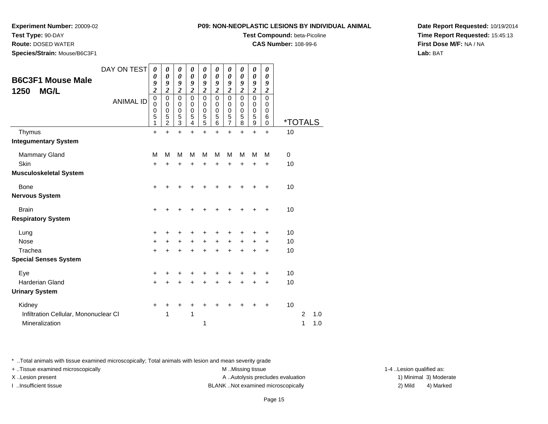# **Test Type:** 90-DAY

**Route:** DOSED WATER

**Species/Strain:** Mouse/B6C3F1

### **P09: NON-NEOPLASTIC LESIONS BY INDIVIDUAL ANIMAL**

**Test Compound:** beta-Picoline

**CAS Number:** 108-99-6

**Date Report Requested:** 10/19/2014**Time Report Requested:** 15:45:13**First Dose M/F:** NA / NA**Lab:** BAT

| <b>B6C3F1 Mouse Male</b><br>1250<br><b>MG/L</b><br>Thymus<br><b>Integumentary System</b> | DAY ON TEST<br><b>ANIMAL ID</b> | 0<br>0<br>9<br>$\overline{\mathbf{c}}$<br>$\mathbf 0$<br>0<br>0<br>5<br>1<br>$\ddot{}$ | 0<br>0<br>9<br>$\overline{2}$<br>$\mathbf 0$<br>0<br>$\mathbf 0$<br>5<br>$\overline{c}$<br>$\ddot{}$ | 0<br>0<br>9<br>$\overline{c}$<br>$\pmb{0}$<br>0<br>$\pmb{0}$<br>$\mathbf 5$<br>$\overline{3}$<br>$\ddot{}$ | 0<br>0<br>9<br>$\boldsymbol{2}$<br>$\mathbf 0$<br>0<br>0<br>5<br>4<br>$\ddot{}$ | 0<br>0<br>9<br>$\boldsymbol{2}$<br>$\mathbf 0$<br>0<br>$\pmb{0}$<br>$\frac{5}{5}$<br>$\ddot{}$ | 0<br>0<br>9<br>$\boldsymbol{2}$<br>$\Omega$<br>0<br>$\mathbf 0$<br>$\mathbf 5$<br>6<br>$\ddot{}$ | 0<br>$\boldsymbol{\theta}$<br>9<br>$\boldsymbol{2}$<br>$\mathbf 0$<br>0<br>$\,0\,$<br>$\frac{5}{7}$<br>$\ddot{}$ | 0<br>0<br>9<br>$\overline{2}$<br>$\Omega$<br>0<br>$\mathbf 0$<br>$\mathbf 5$<br>8<br>$\ddot{}$ | 0<br>$\boldsymbol{\theta}$<br>9<br>$\overline{c}$<br>$\mathbf 0$<br>0<br>$\begin{smallmatrix}0\0\0\end{smallmatrix}$<br>$\boldsymbol{9}$<br>$\ddot{}$ | 0<br>0<br>9<br>$\boldsymbol{2}$<br>$\mathbf 0$<br>0<br>$\mathbf 0$<br>$\,6$<br>$\mathbf 0$<br>$+$ | *TOTALS<br>10 |                |     |
|------------------------------------------------------------------------------------------|---------------------------------|----------------------------------------------------------------------------------------|------------------------------------------------------------------------------------------------------|------------------------------------------------------------------------------------------------------------|---------------------------------------------------------------------------------|------------------------------------------------------------------------------------------------|--------------------------------------------------------------------------------------------------|------------------------------------------------------------------------------------------------------------------|------------------------------------------------------------------------------------------------|-------------------------------------------------------------------------------------------------------------------------------------------------------|---------------------------------------------------------------------------------------------------|---------------|----------------|-----|
|                                                                                          |                                 |                                                                                        |                                                                                                      |                                                                                                            |                                                                                 |                                                                                                |                                                                                                  |                                                                                                                  |                                                                                                |                                                                                                                                                       |                                                                                                   |               |                |     |
| <b>Mammary Gland</b>                                                                     |                                 | M                                                                                      | M                                                                                                    | M                                                                                                          | M                                                                               | M                                                                                              | M                                                                                                | M                                                                                                                | M                                                                                              | M                                                                                                                                                     | M                                                                                                 | 0             |                |     |
| <b>Skin</b>                                                                              |                                 | +                                                                                      | +                                                                                                    | +                                                                                                          | +                                                                               | +                                                                                              | +                                                                                                | $\ddot{}$                                                                                                        | $\ddot{}$                                                                                      | +                                                                                                                                                     | $\ddot{}$                                                                                         | 10            |                |     |
| <b>Musculoskeletal System</b>                                                            |                                 |                                                                                        |                                                                                                      |                                                                                                            |                                                                                 |                                                                                                |                                                                                                  |                                                                                                                  |                                                                                                |                                                                                                                                                       |                                                                                                   |               |                |     |
| <b>Bone</b>                                                                              |                                 | $\ddot{}$                                                                              | +                                                                                                    | ٠                                                                                                          |                                                                                 | +                                                                                              | +                                                                                                | +                                                                                                                | +                                                                                              | +                                                                                                                                                     | +                                                                                                 | 10            |                |     |
| <b>Nervous System</b>                                                                    |                                 |                                                                                        |                                                                                                      |                                                                                                            |                                                                                 |                                                                                                |                                                                                                  |                                                                                                                  |                                                                                                |                                                                                                                                                       |                                                                                                   |               |                |     |
| <b>Brain</b>                                                                             |                                 | +                                                                                      |                                                                                                      |                                                                                                            |                                                                                 | ٠                                                                                              | +                                                                                                | +                                                                                                                | +                                                                                              | +                                                                                                                                                     | $\ddot{}$                                                                                         | 10            |                |     |
| <b>Respiratory System</b>                                                                |                                 |                                                                                        |                                                                                                      |                                                                                                            |                                                                                 |                                                                                                |                                                                                                  |                                                                                                                  |                                                                                                |                                                                                                                                                       |                                                                                                   |               |                |     |
|                                                                                          |                                 |                                                                                        |                                                                                                      |                                                                                                            |                                                                                 |                                                                                                |                                                                                                  |                                                                                                                  |                                                                                                |                                                                                                                                                       |                                                                                                   | 10            |                |     |
| Lung<br><b>Nose</b>                                                                      |                                 | $\ddot{}$<br>+                                                                         | $\pm$                                                                                                | +<br>$\ddot{}$                                                                                             | +<br>$\ddot{}$                                                                  | +<br>$\ddot{}$                                                                                 | +<br>$+$                                                                                         | +<br>$\ddot{}$                                                                                                   | +<br>$+$                                                                                       | +<br>$\ddot{}$                                                                                                                                        | +<br>$\ddot{}$                                                                                    | 10            |                |     |
| Trachea                                                                                  |                                 | $\ddot{}$                                                                              |                                                                                                      | +                                                                                                          | $\ddot{}$                                                                       | $\ddot{}$                                                                                      | $\ddot{}$                                                                                        | $\ddot{}$                                                                                                        | $\ddot{}$                                                                                      | $\ddot{}$                                                                                                                                             | $\ddot{}$                                                                                         | 10            |                |     |
| <b>Special Senses System</b>                                                             |                                 |                                                                                        |                                                                                                      |                                                                                                            |                                                                                 |                                                                                                |                                                                                                  |                                                                                                                  |                                                                                                |                                                                                                                                                       |                                                                                                   |               |                |     |
|                                                                                          |                                 |                                                                                        |                                                                                                      |                                                                                                            |                                                                                 |                                                                                                |                                                                                                  |                                                                                                                  |                                                                                                |                                                                                                                                                       |                                                                                                   |               |                |     |
| Eye                                                                                      |                                 | +                                                                                      |                                                                                                      |                                                                                                            |                                                                                 | +                                                                                              | +                                                                                                | +                                                                                                                | +                                                                                              | +                                                                                                                                                     | +                                                                                                 | 10            |                |     |
| <b>Harderian Gland</b>                                                                   |                                 | $\ddot{}$                                                                              |                                                                                                      | +                                                                                                          | +                                                                               | +                                                                                              | $\ddot{}$                                                                                        | $\ddot{}$                                                                                                        | $\ddot{}$                                                                                      | $\ddot{}$                                                                                                                                             | $\ddot{}$                                                                                         | 10            |                |     |
| <b>Urinary System</b>                                                                    |                                 |                                                                                        |                                                                                                      |                                                                                                            |                                                                                 |                                                                                                |                                                                                                  |                                                                                                                  |                                                                                                |                                                                                                                                                       |                                                                                                   |               |                |     |
| Kidney                                                                                   |                                 | +                                                                                      | +                                                                                                    | +                                                                                                          | +                                                                               | ٠                                                                                              | +                                                                                                | +                                                                                                                | +                                                                                              | +                                                                                                                                                     | $\ddot{}$                                                                                         | 10            |                |     |
| Infiltration Cellular, Mononuclear CI                                                    |                                 |                                                                                        | 1                                                                                                    |                                                                                                            | 1                                                                               |                                                                                                |                                                                                                  |                                                                                                                  |                                                                                                |                                                                                                                                                       |                                                                                                   |               | $\overline{2}$ | 1.0 |
| Mineralization                                                                           |                                 |                                                                                        |                                                                                                      |                                                                                                            |                                                                                 | 1                                                                                              |                                                                                                  |                                                                                                                  |                                                                                                |                                                                                                                                                       |                                                                                                   |               | 1              | 1.0 |

\* ..Total animals with tissue examined microscopically; Total animals with lesion and mean severity grade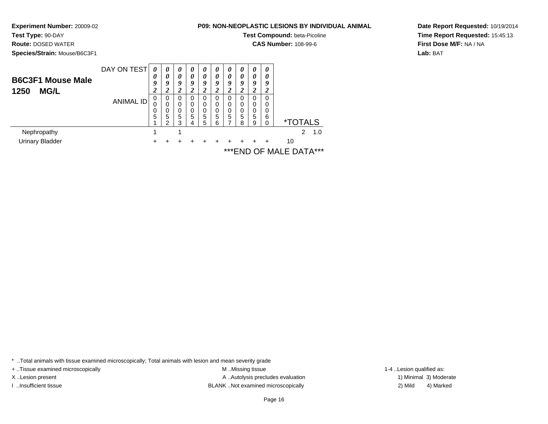**Species/Strain:** Mouse/B6C3F1

**Test Type:** 90-DAY**Route:** DOSED WATER

### **P09: NON-NEOPLASTIC LESIONS BY INDIVIDUAL ANIMAL**

**Test Compound:** beta-Picoline

**CAS Number:** 108-99-6

**Date Report Requested:** 10/19/2014**Time Report Requested:** 15:45:13**First Dose M/F:** NA / NA**Lab:** BAT

DAY ON TEST**B6C3F1 Mouse Male1250 MG/L**ANIMAL ID*0 0 9 2* 0 0 0 5 1 $\mathbf{1}$ *0 0 9 2*0<br>0<br>0<br>5<br>2 *0 0 9 2* 0 0 0 5 3 $\mathbf{1}$ *0 0 9 2* 0 0 0 5 4*0 0 9 2* 0 0 0 5 5*0 0 9 2* 0 0 0 5 6*0 0 9 2* 0 0 0 5 7*0 0 9 2* 0 0 0 5 8*0 0 9 2* 0 0 0 5 9*0 0 9 2* 0 0 0 6 $\check{\mathrm{o}}$ 0 \*TOTALS $2, 1.0$ Nephropathy $\mathsf y$  1 <sup>1</sup> <sup>2</sup> 1.0 Urinary Bladder $\mathsf{r}$  + <sup>+</sup> <sup>+</sup> <sup>+</sup> <sup>+</sup> <sup>+</sup> <sup>+</sup> <sup>+</sup> <sup>+</sup> + 10

\*\*\*END OF MALE DATA\*\*\*

\* ..Total animals with tissue examined microscopically; Total animals with lesion and mean severity grade

+ ..Tissue examined microscopically examined microscopically examined as:  $M$  ..Missing tissue 1-4 ..Lesion qualified as:

X..Lesion present **A ..Autolysis precludes evaluation** A ..Autolysis precludes evaluation 1) Minimal 3) Moderate I ..Insufficient tissue BLANK ..Not examined microscopically 2) Mild 4) Marked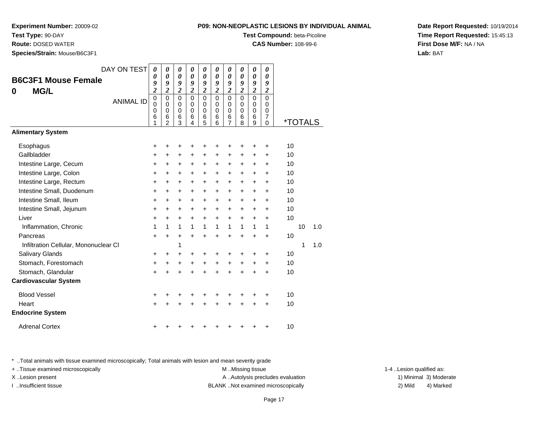**Test Type:** 90-DAY

**Route:** DOSED WATER

**Species/Strain:** Mouse/B6C3F1

|  | <b>P09: NON-NEOPLASTIC LESIONS BY INDIVIDUAL ANIMAL</b> |
|--|---------------------------------------------------------|
|--|---------------------------------------------------------|

**Test Compound:** beta-Picoline

**CAS Number:** 108-99-6

**Date Report Requested:** 10/19/2014**Time Report Requested:** 15:45:13**First Dose M/F:** NA / NA**Lab:** BAT

| 0<br>9<br>$\boldsymbol{2}$<br>$\mathbf 0$<br>0<br>0<br>6       | 0<br>9<br>2<br>0<br>$\Omega$<br>0<br>6<br>$\overline{2}$ | 0<br>0<br>9<br>2<br>$\mathbf 0$<br>$\Omega$<br>0<br>6<br>3 | 0<br>9<br>$\boldsymbol{2}$<br>$\mathbf 0$<br>$\Omega$<br>0<br>6<br>4      | 0<br>$\boldsymbol{\theta}$<br>9<br>$\boldsymbol{2}$<br>$\overline{0}$<br>$\Omega$<br>0<br>$6\phantom{1}6$<br>5 | $\boldsymbol{\theta}$<br>9<br>$\boldsymbol{2}$<br>$\mathbf 0$<br>$\Omega$<br>$\mathbf 0$<br>6<br>6 | $\boldsymbol{\theta}$<br>9<br>$\boldsymbol{2}$<br>$\mathbf 0$<br>$\Omega$<br>0<br>6<br>$\overline{7}$ | $\boldsymbol{\theta}$<br>9<br>$\boldsymbol{2}$<br>$\mathbf 0$<br>0<br>0<br>6<br>8 | 0<br>$\boldsymbol{\theta}$<br>9<br>$\overline{2}$<br>$\mathbf 0$<br>$\mathbf 0$<br>0<br>$6\phantom{1}6$<br>9 | 0<br>0<br>9<br>$\boldsymbol{2}$<br>$\mathbf 0$<br>0<br>0<br>$\overline{7}$<br>$\mathbf 0$ |                                                          |                                   |
|----------------------------------------------------------------|----------------------------------------------------------|------------------------------------------------------------|---------------------------------------------------------------------------|----------------------------------------------------------------------------------------------------------------|----------------------------------------------------------------------------------------------------|-------------------------------------------------------------------------------------------------------|-----------------------------------------------------------------------------------|--------------------------------------------------------------------------------------------------------------|-------------------------------------------------------------------------------------------|----------------------------------------------------------|-----------------------------------|
|                                                                |                                                          |                                                            |                                                                           |                                                                                                                |                                                                                                    |                                                                                                       |                                                                                   |                                                                                                              |                                                                                           |                                                          |                                   |
| +<br>+<br>+<br>$\ddot{}$<br>$\ddot{}$<br>+<br>+<br>+<br>+<br>1 | +<br>+<br>+<br>+<br>+<br>+<br>+<br>+<br>+<br>1           | +<br>+<br>+<br>+<br>+<br>+<br>+<br>+<br>+<br>1             | +<br>$\ddot{}$<br>+<br>$\ddot{}$<br>+<br>+<br>$\ddot{}$<br>$\ddot{}$<br>1 | ٠<br>$\ddot{}$<br>+<br>$\ddot{}$<br>$\ddot{}$<br>+<br>+<br>$\ddot{}$<br>+<br>1                                 | ٠<br>+<br>$\ddot{}$<br>+<br>$\ddot{}$<br>$\ddot{}$<br>+<br>+<br>$\ddot{}$<br>1                     | +<br>+<br>+<br>+<br>$\ddot{}$<br>+<br>+<br>+<br>$\ddot{}$<br>1                                        | +<br>+<br>+<br>+<br>$\ddot{}$<br>+<br>+<br>+<br>$\ddot{}$<br>1                    | ٠<br>+<br>+<br>$\ddot{}$<br>$\ddot{}$<br>+<br>+<br>$\ddot{}$<br>+<br>1                                       | $\ddot{}$<br>+<br>+<br>$\ddot{}$<br>$\ddot{}$<br>+<br>+<br>$\ddot{}$<br>$\ddot{}$<br>1    | 10<br>10<br>10<br>10<br>10<br>10<br>10<br>10<br>10<br>10 | 1.0                               |
| $\ddot{}$<br>+<br>+<br>$\ddot{}$                               | +<br>+<br>+                                              | +<br>1<br>+<br>+                                           | $\ddot{}$<br>÷<br>+                                                       | $\ddot{}$<br>٠<br>+                                                                                            | $\ddot{}$<br>+<br>$\ddot{}$<br>$\ddot{}$                                                           | +<br>+<br>+<br>+                                                                                      | $\ddot{}$<br>+<br>+<br>+                                                          | $\ddot{}$<br>+<br>+<br>+                                                                                     | $\ddot{}$<br>$\ddot{}$<br>+<br>+                                                          | 1<br>10<br>10<br>10                                      | 1.0                               |
| +<br>$\ddot{}$                                                 |                                                          |                                                            |                                                                           |                                                                                                                | ٠                                                                                                  | +<br>+                                                                                                | +<br>÷                                                                            | +                                                                                                            | +<br>$\ddot{}$                                                                            | 10<br>10                                                 |                                   |
|                                                                | <b>ANIMAL ID</b><br>+                                    |                                                            |                                                                           |                                                                                                                |                                                                                                    |                                                                                                       | +                                                                                 |                                                                                                              |                                                                                           | +                                                        | <i><b>*TOTALS</b></i><br>10<br>10 |

\* ..Total animals with tissue examined microscopically; Total animals with lesion and mean severity grade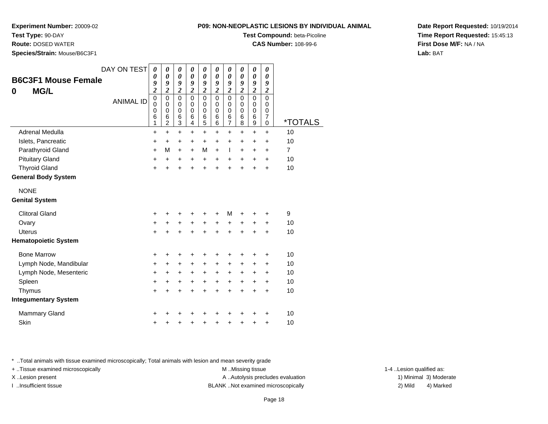**Test Type:** 90-DAY

**Route:** DOSED WATER

**Species/Strain:** Mouse/B6C3F1

**Test Compound:** beta-Picoline

**CAS Number:** 108-99-6

**Date Report Requested:** 10/19/2014**Time Report Requested:** 15:45:13**First Dose M/F:** NA / NA**Lab:** BAT

| DAY ON TEST<br><b>B6C3F1 Mouse Female</b><br><b>MG/L</b><br>0<br><b>ANIMAL ID</b> | 0<br>0<br>9<br>$\overline{\mathbf{c}}$<br>$\overline{0}$<br>0<br>0<br>6 | 0<br>0<br>9<br>$\overline{\mathbf{c}}$<br>$\mathbf 0$<br>$\mathbf 0$<br>$\pmb{0}$<br>6 | 0<br>$\boldsymbol{\theta}$<br>9<br>$\boldsymbol{2}$<br>$\mathbf 0$<br>$\mathbf 0$<br>$\pmb{0}$<br>6 | $\boldsymbol{\theta}$<br>$\boldsymbol{\theta}$<br>9<br>$\overline{\mathbf{c}}$<br>$\mathbf 0$<br>$\Omega$<br>$\pmb{0}$<br>6 | $\boldsymbol{\theta}$<br>$\boldsymbol{\theta}$<br>9<br>$\boldsymbol{2}$<br>$\mathbf 0$<br>0<br>$\pmb{0}$<br>6 | 0<br>$\boldsymbol{\theta}$<br>9<br>$\boldsymbol{2}$<br>$\mathbf 0$<br>0<br>$\mathbf 0$<br>6 | 0<br>$\boldsymbol{\theta}$<br>9<br>$\boldsymbol{2}$<br>$\mathbf 0$<br>$\pmb{0}$<br>$\pmb{0}$<br>6 | 0<br>0<br>9<br>$\boldsymbol{2}$<br>$\mathbf 0$<br>0<br>$\pmb{0}$<br>6 | $\boldsymbol{\theta}$<br>$\boldsymbol{\theta}$<br>9<br>$\overline{\mathbf{c}}$<br>$\overline{0}$<br>$\mathbf 0$<br>$\mathbf 0$<br>$\,6$ | 0<br>0<br>9<br>$\boldsymbol{2}$<br>$\mathbf 0$<br>0<br>$\pmb{0}$<br>$\overline{7}$ |                       |
|-----------------------------------------------------------------------------------|-------------------------------------------------------------------------|----------------------------------------------------------------------------------------|-----------------------------------------------------------------------------------------------------|-----------------------------------------------------------------------------------------------------------------------------|---------------------------------------------------------------------------------------------------------------|---------------------------------------------------------------------------------------------|---------------------------------------------------------------------------------------------------|-----------------------------------------------------------------------|-----------------------------------------------------------------------------------------------------------------------------------------|------------------------------------------------------------------------------------|-----------------------|
|                                                                                   | 1                                                                       | $\overline{c}$                                                                         | $\ensuremath{\mathsf{3}}$                                                                           | 4                                                                                                                           | 5                                                                                                             | 6                                                                                           | $\overline{7}$                                                                                    | 8                                                                     | $\boldsymbol{9}$                                                                                                                        | 0                                                                                  | <i><b>*TOTALS</b></i> |
| Adrenal Medulla                                                                   | +                                                                       | $\ddot{}$                                                                              | $\ddot{}$                                                                                           | $\ddot{}$                                                                                                                   | $\ddot{}$                                                                                                     | $\ddot{}$                                                                                   | $\ddot{}$                                                                                         | +                                                                     | $\ddot{}$                                                                                                                               | $+$                                                                                | 10                    |
| Islets, Pancreatic                                                                | $\ddot{}$                                                               | +                                                                                      | $\ddot{}$                                                                                           | $\ddot{}$                                                                                                                   | +                                                                                                             | $\ddot{}$                                                                                   | $\ddot{}$                                                                                         | +                                                                     | +                                                                                                                                       | +                                                                                  | 10                    |
| Parathyroid Gland                                                                 | +                                                                       | M                                                                                      | $\ddot{}$                                                                                           | $\ddot{}$                                                                                                                   | M                                                                                                             | $\ddot{}$                                                                                   | $\mathbf{I}$                                                                                      | $\ddot{}$                                                             | $\ddot{}$                                                                                                                               | $\ddot{}$                                                                          | $\overline{7}$        |
| <b>Pituitary Gland</b>                                                            | +                                                                       | $\ddot{}$                                                                              | +                                                                                                   | $\ddot{}$                                                                                                                   | $\ddot{}$                                                                                                     | $\ddot{}$                                                                                   | $\ddot{}$                                                                                         | $\ddot{}$                                                             | +                                                                                                                                       | +                                                                                  | 10                    |
| <b>Thyroid Gland</b><br><b>General Body System</b>                                | $\ddot{}$                                                               | $\ddot{}$                                                                              | $\ddot{}$                                                                                           | $\ddot{}$                                                                                                                   | $\ddot{}$                                                                                                     | $\ddot{}$                                                                                   | $\ddot{}$                                                                                         | $\ddot{}$                                                             | $\ddot{}$                                                                                                                               | $\ddot{}$                                                                          | 10                    |
|                                                                                   |                                                                         |                                                                                        |                                                                                                     |                                                                                                                             |                                                                                                               |                                                                                             |                                                                                                   |                                                                       |                                                                                                                                         |                                                                                    |                       |
| <b>NONE</b>                                                                       |                                                                         |                                                                                        |                                                                                                     |                                                                                                                             |                                                                                                               |                                                                                             |                                                                                                   |                                                                       |                                                                                                                                         |                                                                                    |                       |
| <b>Genital System</b>                                                             |                                                                         |                                                                                        |                                                                                                     |                                                                                                                             |                                                                                                               |                                                                                             |                                                                                                   |                                                                       |                                                                                                                                         |                                                                                    |                       |
| <b>Clitoral Gland</b>                                                             | +                                                                       | +                                                                                      | +                                                                                                   | +                                                                                                                           | +                                                                                                             | +                                                                                           | M                                                                                                 | +                                                                     | +                                                                                                                                       | +                                                                                  | 9                     |
| Ovary                                                                             | $\ddot{}$                                                               | $\ddot{}$                                                                              | $\ddot{}$                                                                                           | $\ddot{}$                                                                                                                   | $\ddot{}$                                                                                                     | $\ddot{}$                                                                                   | $\ddot{}$                                                                                         | $\ddot{}$                                                             | +                                                                                                                                       | +                                                                                  | 10                    |
| Uterus                                                                            | $\ddot{}$                                                               | $\ddot{}$                                                                              | $\ddot{}$                                                                                           | $\ddot{}$                                                                                                                   | $\ddot{}$                                                                                                     | $\ddot{}$                                                                                   | $\ddot{}$                                                                                         | $\ddot{}$                                                             | $\ddot{}$                                                                                                                               | +                                                                                  | 10                    |
| <b>Hematopoietic System</b>                                                       |                                                                         |                                                                                        |                                                                                                     |                                                                                                                             |                                                                                                               |                                                                                             |                                                                                                   |                                                                       |                                                                                                                                         |                                                                                    |                       |
| <b>Bone Marrow</b>                                                                | +                                                                       | +                                                                                      | +                                                                                                   | +                                                                                                                           | +                                                                                                             |                                                                                             |                                                                                                   |                                                                       |                                                                                                                                         | ٠                                                                                  | 10                    |
| Lymph Node, Mandibular                                                            | +                                                                       | +                                                                                      | $\ddot{}$                                                                                           | +                                                                                                                           | $\ddot{}$                                                                                                     | $\ddot{}$                                                                                   | $\ddot{}$                                                                                         | +                                                                     | +                                                                                                                                       | +                                                                                  | 10                    |
| Lymph Node, Mesenteric                                                            | +                                                                       | +                                                                                      | +                                                                                                   | +                                                                                                                           | $\ddot{}$                                                                                                     | $\ddot{}$                                                                                   | $\ddot{}$                                                                                         | $\ddot{}$                                                             | $\ddot{}$                                                                                                                               | +                                                                                  | 10                    |
| Spleen                                                                            | +                                                                       | +                                                                                      | +                                                                                                   | +                                                                                                                           | $\ddot{}$                                                                                                     | $\ddot{}$                                                                                   | $\ddot{}$                                                                                         | +                                                                     | $\ddot{}$                                                                                                                               | +                                                                                  | 10                    |
| Thymus                                                                            | $\ddot{}$                                                               | +                                                                                      | +                                                                                                   | +                                                                                                                           | +                                                                                                             |                                                                                             | ÷                                                                                                 |                                                                       | +                                                                                                                                       | $\ddot{}$                                                                          | 10                    |
| <b>Integumentary System</b>                                                       |                                                                         |                                                                                        |                                                                                                     |                                                                                                                             |                                                                                                               |                                                                                             |                                                                                                   |                                                                       |                                                                                                                                         |                                                                                    |                       |
| <b>Mammary Gland</b>                                                              | +                                                                       |                                                                                        | +                                                                                                   |                                                                                                                             |                                                                                                               |                                                                                             |                                                                                                   |                                                                       |                                                                                                                                         | +                                                                                  | 10                    |
| Skin                                                                              | +                                                                       | +                                                                                      | +                                                                                                   | +                                                                                                                           | +                                                                                                             | +                                                                                           | +                                                                                                 | +                                                                     | +                                                                                                                                       | +                                                                                  | 10                    |

\* ..Total animals with tissue examined microscopically; Total animals with lesion and mean severity grade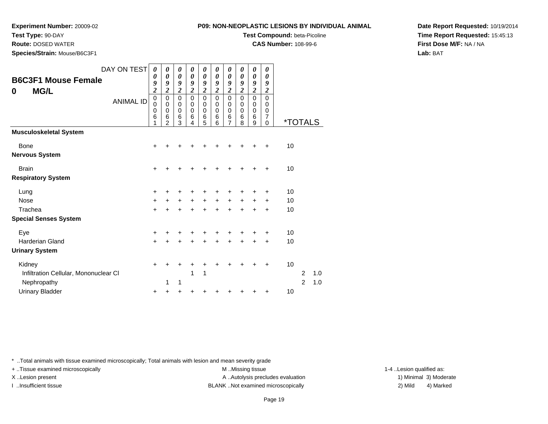**P09: NON-**

**Experiment Number:** 20009-02

**Test Type:** 90-DAY

**Route:** DOSED WATER

**Species/Strain:** Mouse/B6C3F1

|  | -NEOPLASTIC LESIONS BY INDIVIDUAL ANIMAL |  |
|--|------------------------------------------|--|
|  |                                          |  |

**Test Compound:** beta-Picoline

**CAS Number:** 108-99-6

**Date Report Requested:** 10/19/2014**Time Report Requested:** 15:45:13**First Dose M/F:** NA / NA**Lab:** BAT

| <b>B6C3F1 Mouse Female</b><br><b>MG/L</b><br>0 | DAY ON TEST<br><b>ANIMAL ID</b> | 0<br>0<br>9<br>$\overline{\mathbf{c}}$<br>0<br>$\mathbf 0$<br>0<br>6 | 0<br>0<br>9<br>$\overline{2}$<br>$\mathbf 0$<br>$\mathbf 0$<br>$\mathbf 0$<br>6<br>2 | 0<br>0<br>9<br>$\overline{c}$<br>0<br>0<br>$\mathbf 0$<br>6<br>3 | 0<br>0<br>9<br>$\overline{c}$<br>$\mathbf 0$<br>0<br>0<br>6<br>4 | 0<br>0<br>9<br>$\overline{\mathbf{c}}$<br>0<br>0<br>0<br>6<br>5 | 0<br>0<br>9<br>$\overline{\mathbf{c}}$<br>0<br>0<br>0<br>6<br>6 | 0<br>$\boldsymbol{\theta}$<br>9<br>$\overline{\mathbf{c}}$<br>$\mathbf 0$<br>0<br>$\mathbf 0$<br>6<br>7 | 0<br>$\boldsymbol{\theta}$<br>9<br>$\overline{2}$<br>$\mathbf 0$<br>0<br>0<br>6<br>8 | 0<br>0<br>9<br>$\overline{2}$<br>$\mathbf 0$<br>0<br>0<br>6<br>9 | 0<br>0<br>9<br>$\overline{2}$<br>$\mathbf 0$<br>0<br>0<br>$\overline{7}$<br>$\mathbf 0$ | <i><b>*TOTALS</b></i> |                |     |  |
|------------------------------------------------|---------------------------------|----------------------------------------------------------------------|--------------------------------------------------------------------------------------|------------------------------------------------------------------|------------------------------------------------------------------|-----------------------------------------------------------------|-----------------------------------------------------------------|---------------------------------------------------------------------------------------------------------|--------------------------------------------------------------------------------------|------------------------------------------------------------------|-----------------------------------------------------------------------------------------|-----------------------|----------------|-----|--|
| <b>Musculoskeletal System</b>                  |                                 |                                                                      |                                                                                      |                                                                  |                                                                  |                                                                 |                                                                 |                                                                                                         |                                                                                      |                                                                  |                                                                                         |                       |                |     |  |
| <b>Bone</b>                                    |                                 | ÷                                                                    |                                                                                      |                                                                  |                                                                  |                                                                 |                                                                 |                                                                                                         |                                                                                      |                                                                  |                                                                                         | 10                    |                |     |  |
| <b>Nervous System</b>                          |                                 |                                                                      |                                                                                      |                                                                  |                                                                  |                                                                 |                                                                 |                                                                                                         |                                                                                      |                                                                  |                                                                                         |                       |                |     |  |
| <b>Brain</b>                                   |                                 | $\ddot{}$                                                            | +                                                                                    | +                                                                | ٠                                                                |                                                                 | ٠                                                               | +                                                                                                       | +                                                                                    |                                                                  | ٠                                                                                       | 10                    |                |     |  |
| <b>Respiratory System</b>                      |                                 |                                                                      |                                                                                      |                                                                  |                                                                  |                                                                 |                                                                 |                                                                                                         |                                                                                      |                                                                  |                                                                                         |                       |                |     |  |
| Lung                                           |                                 | $\ddot{}$                                                            |                                                                                      | ٠                                                                | +                                                                | +                                                               | +                                                               | +                                                                                                       | +                                                                                    |                                                                  | +                                                                                       | 10                    |                |     |  |
| <b>Nose</b>                                    |                                 | $\ddot{}$                                                            | +                                                                                    | $\ddot{}$                                                        | $\ddot{}$                                                        | $\ddot{}$                                                       | $\ddot{}$                                                       | $\ddot{}$                                                                                               | $\ddot{}$                                                                            | $\ddot{}$                                                        | $\ddot{}$                                                                               | 10                    |                |     |  |
| Trachea                                        |                                 | $\ddot{}$                                                            |                                                                                      | $\ddot{}$                                                        | $\ddot{}$                                                        | $\ddot{}$                                                       | $\ddot{}$                                                       | +                                                                                                       | +                                                                                    |                                                                  | $\ddot{}$                                                                               | 10                    |                |     |  |
| <b>Special Senses System</b>                   |                                 |                                                                      |                                                                                      |                                                                  |                                                                  |                                                                 |                                                                 |                                                                                                         |                                                                                      |                                                                  |                                                                                         |                       |                |     |  |
| Eye                                            |                                 | ÷                                                                    |                                                                                      | ٠                                                                | ٠                                                                | +                                                               | +                                                               | +                                                                                                       | +                                                                                    |                                                                  | +                                                                                       | 10                    |                |     |  |
| <b>Harderian Gland</b>                         |                                 | $\ddot{}$                                                            | +                                                                                    | +                                                                | $\div$                                                           | $\div$                                                          | $\div$                                                          | +                                                                                                       | $\div$                                                                               |                                                                  | $\ddot{}$                                                                               | 10                    |                |     |  |
| <b>Urinary System</b>                          |                                 |                                                                      |                                                                                      |                                                                  |                                                                  |                                                                 |                                                                 |                                                                                                         |                                                                                      |                                                                  |                                                                                         |                       |                |     |  |
| Kidney                                         |                                 | $+$                                                                  | +                                                                                    | +                                                                | +                                                                | +                                                               | +                                                               | +                                                                                                       | +                                                                                    |                                                                  | +                                                                                       | 10                    |                |     |  |
| Infiltration Cellular, Mononuclear CI          |                                 |                                                                      |                                                                                      |                                                                  | 1                                                                | 1                                                               |                                                                 |                                                                                                         |                                                                                      |                                                                  |                                                                                         |                       | 2              | 1.0 |  |
| Nephropathy                                    |                                 |                                                                      | 1                                                                                    | 1                                                                |                                                                  |                                                                 |                                                                 |                                                                                                         |                                                                                      |                                                                  |                                                                                         |                       | $\overline{2}$ | 1.0 |  |
| <b>Urinary Bladder</b>                         |                                 | ٠                                                                    |                                                                                      | +                                                                |                                                                  |                                                                 |                                                                 |                                                                                                         |                                                                                      |                                                                  |                                                                                         | 10                    |                |     |  |

\* ..Total animals with tissue examined microscopically; Total animals with lesion and mean severity grade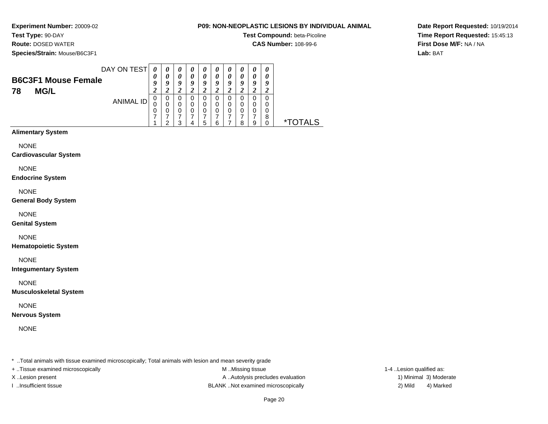# **Test Type:** 90-DAY

**Route:** DOSED WATER

**Species/Strain:** Mouse/B6C3F1

### **P09: NON-NEOPLASTIC LESIONS BY INDIVIDUAL ANIMAL**

**Test Compound:** beta-Picoline

**CAS Number:** 108-99-6

**Date Report Requested:** 10/19/2014**Time Report Requested:** 15:45:13**First Dose M/F:** NA / NA**Lab:** BAT

|    |                            | DAY ON TEST |   | $\boldsymbol{\theta}$ | $\boldsymbol{\theta}$ | U | $\boldsymbol{\theta}$ | $\boldsymbol{\theta}$ | $\boldsymbol{\theta}$ | $\boldsymbol{\theta}$ | U |   |
|----|----------------------------|-------------|---|-----------------------|-----------------------|---|-----------------------|-----------------------|-----------------------|-----------------------|---|---|
|    | <b>B6C3F1 Mouse Female</b> |             | U | 0                     | 0                     | 0 |                       | 0                     | 0                     | 0                     | 0 |   |
|    |                            |             |   | 9                     | Q                     | Q | a                     | Q                     | $\boldsymbol{0}$      | Q                     | 9 |   |
| 78 | <b>MG/L</b>                |             |   |                       |                       |   |                       |                       |                       |                       |   |   |
|    |                            | ANIMAL ID   | υ | 0                     |                       | 0 |                       | 0                     | 0                     | 0                     | 0 |   |
|    |                            |             |   | 0                     | 0                     | 0 |                       | 0                     | 0                     | 0                     | 0 |   |
|    |                            |             | O | 0                     | 0                     | 0 | 0                     | 0                     | 0                     | 0                     | O |   |
|    |                            |             |   |                       |                       |   |                       |                       |                       |                       | 8 |   |
|    |                            |             |   | ົ                     |                       | b |                       |                       | я                     | 9                     |   | * |

# **Alimentary System**

NONE

### **Cardiovascular System**

NONE

### **Endocrine System**

NONE

### **General Body System**

NONE

### **Genital System**

NONE

### **Hematopoietic System**

NONE

### **Integumentary System**

NONE

### **Musculoskeletal System**

NONE

### **Nervous System**

NONE

\* ..Total animals with tissue examined microscopically; Total animals with lesion and mean severity grade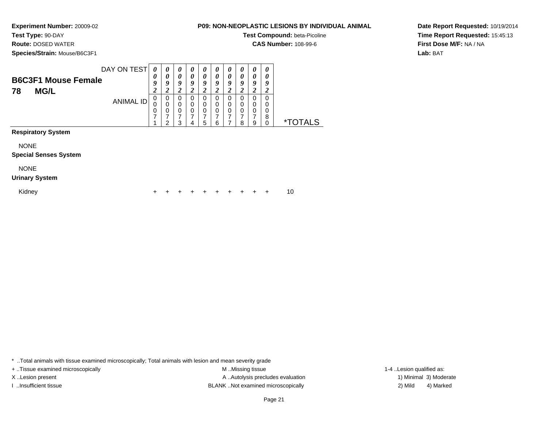# **Test Type:** 90-DAY

**Route:** DOSED WATER

**Species/Strain:** Mouse/B6C3F1

### **P09: NON-NEOPLASTIC LESIONS BY INDIVIDUAL ANIMAL**

**Test Compound:** beta-Picoline

**CAS Number:** 108-99-6

**Date Report Requested:** 10/19/2014**Time Report Requested:** 15:45:13**First Dose M/F:** NA / NA**Lab:** BAT

|    | DAY ON TEST                |   | U                | $\boldsymbol{\theta}$ | U                     | $\boldsymbol{\theta}$ | U  | $\boldsymbol{\theta}$ | $\boldsymbol{\theta}$ | 0 | 0 |
|----|----------------------------|---|------------------|-----------------------|-----------------------|-----------------------|----|-----------------------|-----------------------|---|---|
|    | <b>B6C3F1 Mouse Female</b> | U |                  | $\boldsymbol{\theta}$ | $\boldsymbol{\theta}$ | 0                     |    | $\theta$              | 0                     | 0 | 0 |
|    |                            |   | $\boldsymbol{0}$ | 9                     | a                     | Q                     | o  | Q                     | Q                     | Q | o |
| 78 | <b>MG/L</b>                |   |                  |                       |                       | ₫                     |    | ◢                     |                       |   | ∼ |
|    |                            |   | 0                | 0                     |                       | 0                     |    | 0                     |                       | 0 | 0 |
|    | ANIMAL ID                  |   |                  |                       |                       | 0                     |    |                       |                       | 0 | 0 |
|    |                            | υ |                  | 0                     |                       | 0                     | O  | 0                     | 0                     | 0 | 0 |
|    |                            |   |                  |                       |                       |                       |    |                       |                       |   | 8 |
|    |                            |   | ◠                | ◠                     |                       | ∽                     | ิค |                       | o                     | 9 |   |

# **Respiratory System**

NONE

#### **Special Senses System**

NONE

#### **Urinary System**

Kidney

 $\mathsf y$ <sup>+</sup> <sup>+</sup> <sup>+</sup> <sup>+</sup> <sup>+</sup> <sup>+</sup> <sup>+</sup> <sup>+</sup> + 10

\* ..Total animals with tissue examined microscopically; Total animals with lesion and mean severity grade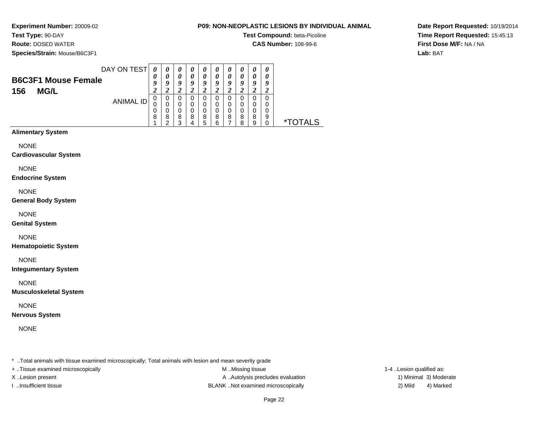# **Test Type:** 90-DAY

**Route:** DOSED WATER

**Species/Strain:** Mouse/B6C3F1

### **P09: NON-NEOPLASTIC LESIONS BY INDIVIDUAL ANIMAL**

**Test Compound:** beta-Picoline

**CAS Number:** 108-99-6

**Date Report Requested:** 10/19/2014**Time Report Requested:** 15:45:13**First Dose M/F:** NA / NA**Lab:** BAT

|                            | DAY ON TEST | 0           | 0 | 0      | $\boldsymbol{\theta}$ | $\boldsymbol{\theta}$ | $\boldsymbol{\theta}$ | $\boldsymbol{\theta}$ | $\boldsymbol{\theta}$ | $\boldsymbol{\theta}$ | $\boldsymbol{\theta}$ |                    |
|----------------------------|-------------|-------------|---|--------|-----------------------|-----------------------|-----------------------|-----------------------|-----------------------|-----------------------|-----------------------|--------------------|
| <b>B6C3F1 Mouse Female</b> |             | $\theta$    | 0 | 0      | 0                     | 0                     | $\boldsymbol{\theta}$ | 0                     | 0                     | 0                     | 0                     |                    |
|                            |             |             | o | g      | a                     | q                     | о                     | Q                     |                       | q                     | 9                     |                    |
| 156<br><b>MG/L</b>         |             |             |   |        |                       |                       |                       |                       |                       |                       |                       |                    |
|                            | ANIMAL ID   | $\mathbf 0$ | 0 | O      |                       | U                     | $\cup$                | O                     |                       | 0                     |                       |                    |
|                            |             | U           |   |        |                       | 0                     |                       | 0                     |                       |                       |                       |                    |
|                            |             | 0           |   | 0      |                       | O                     |                       | O                     |                       | 0                     | O                     |                    |
|                            |             | 8           | 8 | 8<br>っ | 8                     | 8                     | 8                     | 8                     | 8                     | 8                     | 9                     | TAI S<br>$\star^-$ |
|                            |             |             |   |        |                       | 5                     |                       |                       | 8                     | 9                     |                       |                    |

# **Alimentary System**

NONE

**Cardiovascular System**

NONE

**Endocrine System**

NONE

**General Body System**

NONE

**Genital System**

NONE

**Hematopoietic System**

NONE

**Integumentary System**

NONE

**Musculoskeletal System**

NONE

**Nervous System**

NONE

\* ..Total animals with tissue examined microscopically; Total animals with lesion and mean severity grade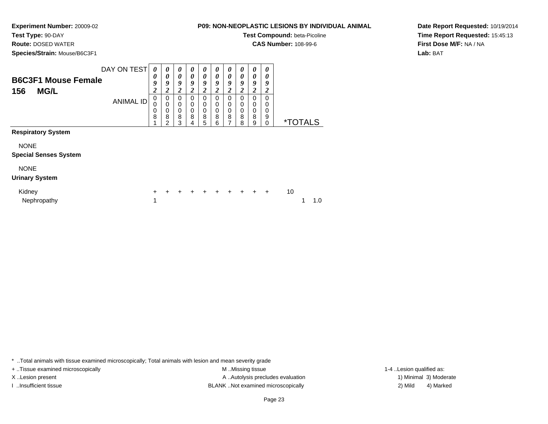**Test Type:** 90-DAY

**Route:** DOSED WATER

**Species/Strain:** Mouse/B6C3F1

**P09: NON-NEOPLASTIC LESIONS BY INDIVIDUAL ANIMAL**

**Test Compound:** beta-Picoline

**CAS Number:** 108-99-6

**Date Report Requested:** 10/19/2014**Time Report Requested:** 15:45:13**First Dose M/F:** NA / NA**Lab:** BAT

| <b>B6C3F1 Mouse Female</b><br>156<br><b>MG/L</b> | DAY ON TEST<br><b>ANIMAL ID</b> | $\boldsymbol{\theta}$<br>0<br>9<br>2<br>0<br>0 | 0<br>$\boldsymbol{\theta}$<br>9<br>$\boldsymbol{2}$<br>$\mathbf 0$<br>$\mathbf 0$ | 0<br>0<br>9<br>2<br>$\Omega$<br>0 | 0<br>0<br>9<br>2<br>0<br>0 | 0<br>0<br>9<br>2<br>0<br>0 | 0<br>0<br>9<br>2<br>0<br>0 | 0<br>$\boldsymbol{\theta}$<br>9<br>2<br>$\Omega$<br>0 | 0<br>0<br>9<br>2<br>0<br>0 | 0<br>0<br>9<br>2<br>$\Omega$<br>$\Omega$ | 0<br>0<br>9<br>2<br>$\Omega$<br>0 |                       |     |  |
|--------------------------------------------------|---------------------------------|------------------------------------------------|-----------------------------------------------------------------------------------|-----------------------------------|----------------------------|----------------------------|----------------------------|-------------------------------------------------------|----------------------------|------------------------------------------|-----------------------------------|-----------------------|-----|--|
|                                                  |                                 | 0<br>8                                         | 0<br>8<br>$\overline{2}$                                                          | 0<br>8<br>3                       | 0<br>8<br>4                | 0<br>8<br>5                | 0<br>8<br>6                | 0<br>8<br>7                                           | 0<br>8<br>8                | $\mathbf 0$<br>8<br>9                    | 0<br>9<br>0                       | <i><b>*TOTALS</b></i> |     |  |
| <b>Respiratory System</b>                        |                                 |                                                |                                                                                   |                                   |                            |                            |                            |                                                       |                            |                                          |                                   |                       |     |  |
| <b>NONE</b><br><b>Special Senses System</b>      |                                 |                                                |                                                                                   |                                   |                            |                            |                            |                                                       |                            |                                          |                                   |                       |     |  |
| <b>NONE</b><br><b>Urinary System</b>             |                                 |                                                |                                                                                   |                                   |                            |                            |                            |                                                       |                            |                                          |                                   |                       |     |  |
| Kidney<br>Nephropathy                            |                                 | +<br>1                                         | $\div$                                                                            | +                                 | +                          | $\ddot{}$                  | $\ddot{}$                  | $\ddot{}$                                             | $+$                        | $\ddot{}$                                | $\ddot{}$                         | 10                    | 1.0 |  |

\* ..Total animals with tissue examined microscopically; Total animals with lesion and mean severity grade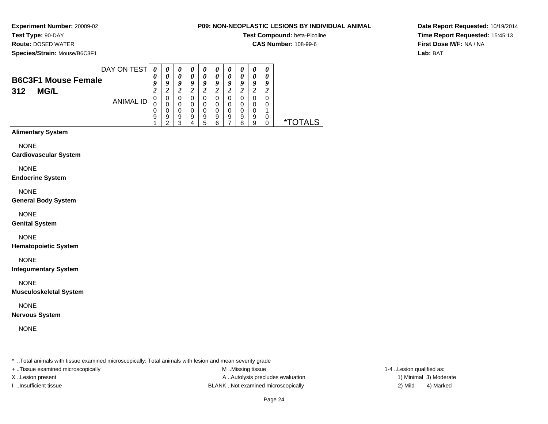# **Test Type:** 90-DAY

**Route:** DOSED WATER

**Species/Strain:** Mouse/B6C3F1

### **P09: NON-NEOPLASTIC LESIONS BY INDIVIDUAL ANIMAL**

**Test Compound:** beta-Picoline

**CAS Number:** 108-99-6

**Date Report Requested:** 10/19/2014**Time Report Requested:** 15:45:13**First Dose M/F:** NA / NA**Lab:** BAT

| DAY ON TEST<br><b>B6C3F1 Mouse Female</b><br>312<br><b>MG/L</b> | 0<br>U           | $\theta$<br>U         | $\boldsymbol{\theta}$<br>0<br>q | $\boldsymbol{\theta}$<br>$\boldsymbol{\theta}$<br>а | $\boldsymbol{\theta}$<br>0<br>9     | U<br>$\boldsymbol{\theta}$<br>g | $\boldsymbol{\theta}$<br>0<br>9 | $\boldsymbol{v}$<br>$\boldsymbol{\theta}$<br>ч | $\boldsymbol{\theta}$<br>0<br>9 | $\boldsymbol{\theta}$<br>U<br>у |              |
|-----------------------------------------------------------------|------------------|-----------------------|---------------------------------|-----------------------------------------------------|-------------------------------------|---------------------------------|---------------------------------|------------------------------------------------|---------------------------------|---------------------------------|--------------|
| <b>ANIMAL ID</b>                                                | U<br>0<br>U<br>9 | 0<br>O<br>O<br>9<br>ີ | 0<br>0<br>O<br>9<br>◠           | O<br>9                                              | $\Omega$<br>0<br>$\Omega$<br>9<br>h | O<br>9<br>6                     | 0<br>0<br>0<br>9                | 0<br>0<br>0<br>9<br>я                          | 0<br>0<br>0<br>9<br>9           | 0<br>0<br>0                     | $\mathbf{x}$ |

# **Alimentary System**

NONE

**Cardiovascular System**

NONE

**Endocrine System**

NONE

**General Body System**

NONE

**Genital System**

### NONE

**Hematopoietic System**

NONE

**Integumentary System**

NONE

**Musculoskeletal System**

NONE

**Nervous System**

NONE

\* ..Total animals with tissue examined microscopically; Total animals with lesion and mean severity grade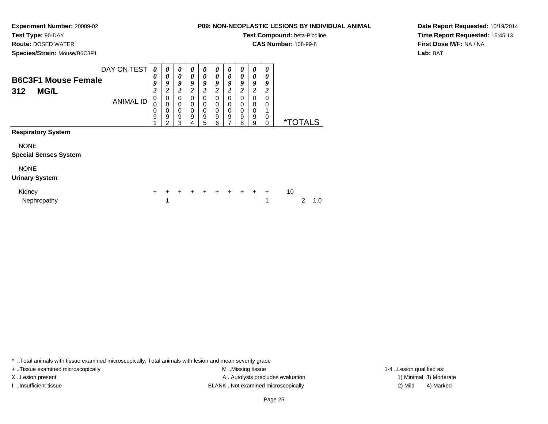# **Test Type:** 90-DAY

**Route:** DOSED WATER

**Species/Strain:** Mouse/B6C3F1

### **P09: NON-NEOPLASTIC LESIONS BY INDIVIDUAL ANIMAL**

**Test Compound:** beta-Picoline

**CAS Number:** 108-99-6

**Date Report Requested:** 10/19/2014**Time Report Requested:** 15:45:13**First Dose M/F:** NA / NA**Lab:** BAT

| <b>B6C3F1 Mouse Female</b><br>312<br><b>MG/L</b> | DAY ON TEST      | 0<br>0<br>9<br>2 | 0<br>0<br>9<br>$\overline{2}$                       | 0<br>0<br>9<br>$\overline{\mathbf{2}}$ | 0<br>0<br>9<br>2                     | 0<br>0<br>9<br>2      | 0<br>0<br>9<br>2                | 0<br>0<br>9<br>2                | $\boldsymbol{\theta}$<br>$\boldsymbol{\theta}$<br>9<br>2 | 0<br>0<br>9<br>2                | 0<br>0<br>9<br>2 |    |                       |     |
|--------------------------------------------------|------------------|------------------|-----------------------------------------------------|----------------------------------------|--------------------------------------|-----------------------|---------------------------------|---------------------------------|----------------------------------------------------------|---------------------------------|------------------|----|-----------------------|-----|
|                                                  | <b>ANIMAL ID</b> | 0<br>0<br>0<br>9 | $\mathbf 0$<br>$\mathbf 0$<br>$\mathbf 0$<br>9<br>2 | 0<br>0<br>0<br>9<br>3                  | 0<br>0<br>0<br>$\boldsymbol{9}$<br>4 | 0<br>0<br>0<br>9<br>5 | 0<br>0<br>$\mathbf 0$<br>9<br>6 | 0<br>0<br>$\mathbf 0$<br>9<br>7 | $\mathbf 0$<br>0<br>$\pmb{0}$<br>9<br>8                  | 0<br>0<br>$\mathbf 0$<br>9<br>9 | 0<br>0<br>0<br>0 |    | <i><b>*TOTALS</b></i> |     |
| <b>Respiratory System</b>                        |                  |                  |                                                     |                                        |                                      |                       |                                 |                                 |                                                          |                                 |                  |    |                       |     |
| <b>NONE</b>                                      |                  |                  |                                                     |                                        |                                      |                       |                                 |                                 |                                                          |                                 |                  |    |                       |     |
| <b>Special Senses System</b>                     |                  |                  |                                                     |                                        |                                      |                       |                                 |                                 |                                                          |                                 |                  |    |                       |     |
| <b>NONE</b><br><b>Urinary System</b>             |                  |                  |                                                     |                                        |                                      |                       |                                 |                                 |                                                          |                                 |                  |    |                       |     |
| Kidney<br>Nephropathy                            |                  | $\ddot{}$        | $\ddot{}$<br>1                                      | +                                      | $\ddot{}$                            | $\ddot{}$             | $\ddot{}$                       | $\ddot{}$                       | $+$                                                      | $+$                             | $\ddot{}$<br>1   | 10 | 2                     | 1.0 |

\* ..Total animals with tissue examined microscopically; Total animals with lesion and mean severity grade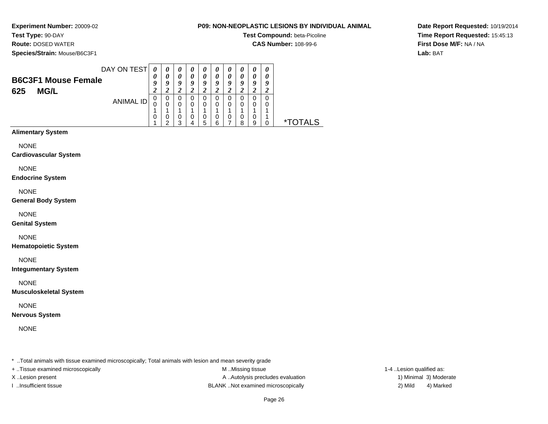**Test Type:** 90-DAY

**Route:** DOSED WATER

**Species/Strain:** Mouse/B6C3F1

### **P09: NON-NEOPLASTIC LESIONS BY INDIVIDUAL ANIMAL**

**Test Compound:** beta-Picoline

**CAS Number:** 108-99-6

**Date Report Requested:** 10/19/2014**Time Report Requested:** 15:45:13**First Dose M/F:** NA / NA**Lab:** BAT

|                            | DAY ON TEST |                           | U | $\boldsymbol{\theta}$ | U | $\boldsymbol{\theta}$ | $\boldsymbol{\theta}$ | $\boldsymbol{\theta}$ | U | $\boldsymbol{\theta}$ |   |  |
|----------------------------|-------------|---------------------------|---|-----------------------|---|-----------------------|-----------------------|-----------------------|---|-----------------------|---|--|
| <b>B6C3F1 Mouse Female</b> |             | $\boldsymbol{\mathit{U}}$ | 0 | 0                     | 0 | 0                     | 0                     | $\theta$              | 0 | 0                     |   |  |
|                            |             |                           | g | 9                     | O | Q                     | O                     | o                     | 9 | Q                     | 9 |  |
| <b>MG/L</b><br>625         |             |                           |   |                       |   |                       |                       |                       |   |                       |   |  |
|                            | ANIMAL ID   |                           | 0 | 0                     |   | 0                     | 0                     | 0                     |   | 0                     | 0 |  |
|                            |             |                           |   | 0                     |   | 0                     | 0                     | 0                     | 0 | 0                     | 0 |  |
|                            |             |                           |   |                       |   |                       |                       |                       |   |                       |   |  |
|                            |             | U                         |   | 0                     |   | 0                     | 0                     | 0                     | 0 | 0                     |   |  |
|                            |             |                           | ີ | ົ                     |   | 5                     | ⌒                     |                       | 8 | 9                     |   |  |

# **Alimentary System**

NONE

**Cardiovascular System**

NONE

**Endocrine System**

NONE

**General Body System**

NONE

**Genital System**

### NONE

**Hematopoietic System**

NONE

**Integumentary System**

NONE

**Musculoskeletal System**

NONE

**Nervous System**

NONE

\* ..Total animals with tissue examined microscopically; Total animals with lesion and mean severity grade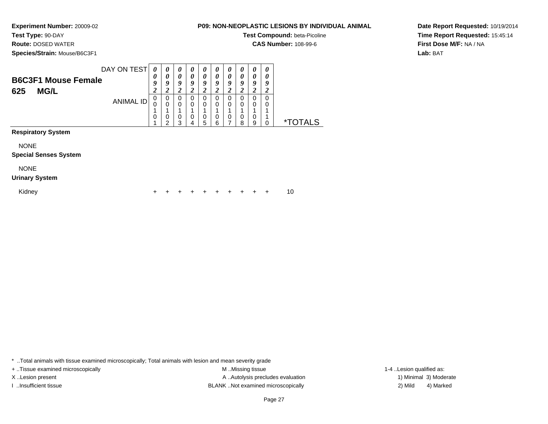# **Test Type:** 90-DAY

**Route:** DOSED WATER

**Species/Strain:** Mouse/B6C3F1

### **P09: NON-NEOPLASTIC LESIONS BY INDIVIDUAL ANIMAL**

**Test Compound:** beta-Picoline

**CAS Number:** 108-99-6

**Date Report Requested:** 10/19/2014**Time Report Requested:** 15:45:14**First Dose M/F:** NA / NA**Lab:** BAT

|     |                            | DAY ON TEST      | 0      | $\boldsymbol{\theta}$ | $\boldsymbol{\theta}$ | $\boldsymbol{\theta}$ | $\boldsymbol{\theta}$ | $\boldsymbol{\theta}$ | $\boldsymbol{\theta}$ | U       | 0 | 0 |
|-----|----------------------------|------------------|--------|-----------------------|-----------------------|-----------------------|-----------------------|-----------------------|-----------------------|---------|---|---|
|     |                            |                  | 0      | 0                     | $\theta$              | 0                     | 0                     | 0                     | 0                     | 0       | 0 | 0 |
|     | <b>B6C3F1 Mouse Female</b> |                  | Q      | Q                     | 9                     | Q                     | 9                     | Q                     | 9                     | O       | o | g |
| 625 | <b>MG/L</b>                |                  | ി<br>◢ |                       | ኅ<br>◢                |                       | ኅ                     |                       | ኅ                     |         |   |   |
|     |                            |                  | 0      | 0                     | 0                     |                       | 0                     |                       | 0                     |         | 0 |   |
|     |                            | <b>ANIMAL ID</b> | U      |                       | 0                     |                       | 0                     |                       | 0                     |         | 0 |   |
|     |                            |                  |        |                       |                       |                       |                       |                       |                       |         |   |   |
|     |                            |                  | 0      |                       | 0                     | 0                     | 0                     | 0                     | 0                     | 0       | 0 |   |
|     |                            |                  |        | ົ                     | ◠                     |                       | 5                     | ิค                    |                       | $\circ$ | g |   |

**Respiratory System**

NONE

**Special Senses System**

NONE

### **Urinary System**

Kidney

 $\mathsf y$ <sup>+</sup> <sup>+</sup> <sup>+</sup> <sup>+</sup> <sup>+</sup> <sup>+</sup> <sup>+</sup> <sup>+</sup> + 10

\* ..Total animals with tissue examined microscopically; Total animals with lesion and mean severity grade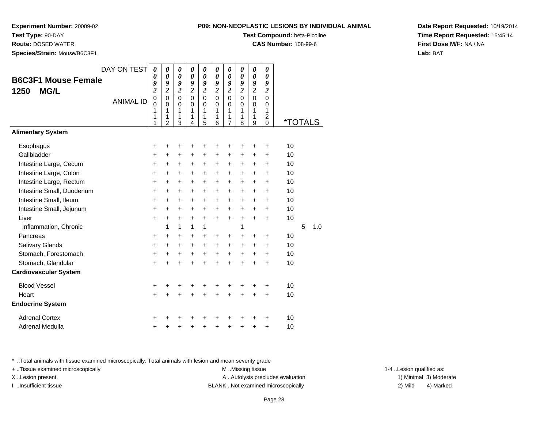**P09: NON-NEOPLASTIC LESIONS BY INDIVIDUAL ANIMAL**

**Experiment Number:** 20009-02

**Test Type:** 90-DAY

**Route:** DOSED WATER

**Species/Strain:** Mouse/B6C3F1

| ION-NEOPLASTIC LESIONS BY INDIVIDUAL ANIM/ |  |
|--------------------------------------------|--|
| <b>Test Compound: beta-Picoline</b>        |  |

**CAS Number:** 108-99-6

**Date Report Requested:** 10/19/2014**Time Report Requested:** 15:45:14**First Dose M/F:** NA / NA**Lab:** BAT

|                              | DAY ON TEST      | 0                                         | 0                                                                 | $\boldsymbol{\theta}$                     | 0                                         | 0                                         | 0                                      | 0                                                      | 0                                            | 0                                            | 0                                                             |                       |   |     |
|------------------------------|------------------|-------------------------------------------|-------------------------------------------------------------------|-------------------------------------------|-------------------------------------------|-------------------------------------------|----------------------------------------|--------------------------------------------------------|----------------------------------------------|----------------------------------------------|---------------------------------------------------------------|-----------------------|---|-----|
| <b>B6C3F1 Mouse Female</b>   |                  | 0<br>9                                    | $\boldsymbol{\theta}$<br>9                                        | 0<br>9                                    | 0<br>9                                    | 0<br>9                                    | $\boldsymbol{\theta}$<br>9             | 0<br>9                                                 | $\boldsymbol{\theta}$<br>9                   | $\boldsymbol{\theta}$<br>9                   | 0<br>9                                                        |                       |   |     |
| <b>MG/L</b><br>1250          |                  | $\boldsymbol{2}$                          | $\overline{\mathbf{c}}$                                           | $\overline{\mathbf{c}}$                   | $\overline{c}$                            | $\overline{\mathbf{c}}$                   | $\overline{2}$                         | $\overline{\mathbf{c}}$                                | $\boldsymbol{2}$                             | $\boldsymbol{2}$                             | $\boldsymbol{2}$                                              |                       |   |     |
|                              | <b>ANIMAL ID</b> | $\mathbf 0$<br>$\mathbf 0$<br>1<br>1<br>1 | $\mathbf 0$<br>$\mathbf 0$<br>$\mathbf{1}$<br>1<br>$\overline{2}$ | $\mathbf 0$<br>$\mathsf 0$<br>1<br>1<br>3 | $\mathbf 0$<br>$\mathbf 0$<br>1<br>1<br>4 | $\mathbf 0$<br>$\mathbf 0$<br>1<br>1<br>5 | $\mathbf 0$<br>$\Omega$<br>1<br>1<br>6 | $\mathbf 0$<br>$\mathbf 0$<br>1<br>1<br>$\overline{7}$ | $\overline{0}$<br>$\mathbf 0$<br>1<br>1<br>8 | $\overline{0}$<br>$\mathbf 0$<br>1<br>1<br>9 | $\mathbf 0$<br>$\mathbf 0$<br>1<br>$\overline{c}$<br>$\Omega$ | <i><b>*TOTALS</b></i> |   |     |
| <b>Alimentary System</b>     |                  |                                           |                                                                   |                                           |                                           |                                           |                                        |                                                        |                                              |                                              |                                                               |                       |   |     |
| Esophagus                    |                  | $\ddot{}$                                 | +                                                                 | +                                         | ٠                                         | +                                         |                                        | ٠                                                      | ٠                                            | +                                            | +                                                             | 10                    |   |     |
| Gallbladder                  |                  | +                                         | +                                                                 | +                                         | +                                         | +                                         | +                                      | +                                                      | $\ddot{}$                                    | $\ddot{}$                                    | $\ddot{}$                                                     | 10                    |   |     |
| Intestine Large, Cecum       |                  | $\ddot{}$                                 | +                                                                 | $\pm$                                     | +                                         | +                                         | $\ddot{}$                              | +                                                      | +                                            | +                                            | $\ddot{}$                                                     | 10                    |   |     |
| Intestine Large, Colon       |                  | $\ddot{}$                                 | $\ddot{}$                                                         | $\ddot{}$                                 | $\ddot{}$                                 | $\ddot{}$                                 | $\ddot{}$                              | $\ddot{}$                                              | $\ddot{}$                                    | $\ddot{}$                                    | $\ddot{}$                                                     | 10                    |   |     |
| Intestine Large, Rectum      |                  | $\ddot{}$                                 | $\ddot{}$                                                         | $\ddot{}$                                 | $\ddot{}$                                 | $\ddot{}$                                 | $\ddot{}$                              | $\ddot{}$                                              | $\ddot{}$                                    | $\ddot{}$                                    | $\ddot{}$                                                     | 10                    |   |     |
| Intestine Small, Duodenum    |                  | $\ddot{}$                                 | $\ddot{}$                                                         | +                                         | +                                         | $\ddot{}$                                 | $\ddot{}$                              | $\ddot{}$                                              | $\ddot{}$                                    | +                                            | $\ddot{}$                                                     | 10                    |   |     |
| Intestine Small, Ileum       |                  | $\ddot{}$                                 | +                                                                 | $\pm$                                     | +                                         | +                                         | $\ddot{}$                              | +                                                      | $\ddot{}$                                    | $\pm$                                        | $\ddot{}$                                                     | 10                    |   |     |
| Intestine Small, Jejunum     |                  | +                                         | $\ddot{}$                                                         | $\ddot{}$                                 | $\ddot{}$                                 | +                                         | $\ddot{}$                              | $\ddot{}$                                              | $\ddot{}$                                    | $\ddot{}$                                    | +                                                             | 10                    |   |     |
| Liver                        |                  | $\ddot{}$                                 | $\ddot{}$                                                         | $\ddot{}$                                 | $\ddot{}$                                 | $\ddot{}$                                 | $\ddot{}$                              | $\ddot{}$                                              | $\ddot{}$                                    | $+$                                          | $\ddot{}$                                                     | 10                    |   |     |
| Inflammation, Chronic        |                  |                                           | 1                                                                 | 1                                         | 1                                         | 1                                         |                                        |                                                        | 1                                            |                                              |                                                               |                       | 5 | 1.0 |
| Pancreas                     |                  | $\ddot{}$                                 | +                                                                 | +                                         | +                                         | +                                         | +                                      | +                                                      | +                                            | +                                            | +                                                             | 10                    |   |     |
| Salivary Glands              |                  | $\ddot{}$                                 | $\ddot{}$                                                         | $\ddot{}$                                 | $\ddot{}$                                 | +                                         | $\ddot{}$                              | $\ddot{}$                                              | $\ddot{}$                                    | +                                            | +                                                             | 10                    |   |     |
| Stomach, Forestomach         |                  | +                                         | $\ddot{}$                                                         | +                                         | $\ddot{}$                                 | +                                         | $\ddot{}$                              | $\ddot{}$                                              | $\ddot{}$                                    | +                                            | $\ddot{}$                                                     | 10                    |   |     |
| Stomach, Glandular           |                  | $\ddot{}$                                 | $\ddot{}$                                                         | $\ddot{}$                                 | $\ddot{}$                                 | $\ddot{}$                                 | $\ddot{}$                              | $\ddot{}$                                              | $\ddot{}$                                    | $\ddot{}$                                    | +                                                             | 10                    |   |     |
| <b>Cardiovascular System</b> |                  |                                           |                                                                   |                                           |                                           |                                           |                                        |                                                        |                                              |                                              |                                                               |                       |   |     |
| <b>Blood Vessel</b>          |                  | +                                         | +                                                                 | +                                         | +                                         | +                                         | +                                      |                                                        | +                                            | +                                            | +                                                             | 10                    |   |     |
| Heart                        |                  | $\ddot{}$                                 | $\ddot{}$                                                         | $\ddot{}$                                 | +                                         | $\ddot{}$                                 | $\ddot{}$                              | $\ddot{}$                                              | $\ddot{}$                                    | +                                            | $\ddot{}$                                                     | 10                    |   |     |
| <b>Endocrine System</b>      |                  |                                           |                                                                   |                                           |                                           |                                           |                                        |                                                        |                                              |                                              |                                                               |                       |   |     |
| <b>Adrenal Cortex</b>        |                  | +                                         |                                                                   |                                           |                                           |                                           |                                        |                                                        |                                              | +                                            | ٠                                                             | 10                    |   |     |
| Adrenal Medulla              |                  | +                                         | +                                                                 | +                                         | +                                         | +                                         | +                                      | +                                                      | +                                            | +                                            | +                                                             | 10                    |   |     |

\* ..Total animals with tissue examined microscopically; Total animals with lesion and mean severity grade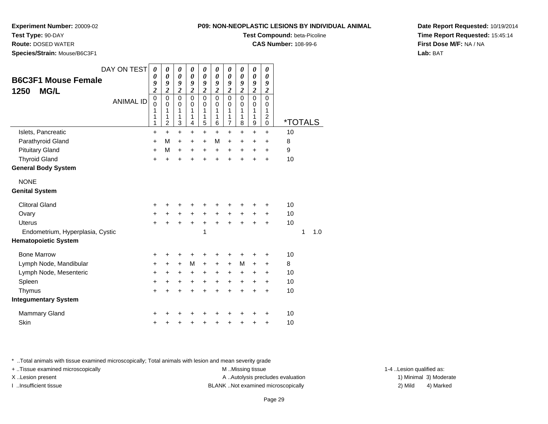**P09: NON-NEOPLASTIC LESIONS BY INDIVIDUAL ANIMAL**

**Test Compound:** beta-Picoline**CAS Number:** 108-99-6

**Experiment Number:** 20009-02

**Test Type:** 90-DAY

**Route:** DOSED WATER

**Species/Strain:** Mouse/B6C3F1

| DAY ON TEST<br><b>B6C3F1 Mouse Female</b><br><b>MG/L</b><br>1250<br><b>ANIMAL ID</b> | $\boldsymbol{\theta}$<br>0<br>9<br>$\overline{\mathbf{c}}$<br>$\mathbf 0$<br>$\mathbf 0$<br>1<br>1<br>1 | $\boldsymbol{\theta}$<br>$\boldsymbol{\theta}$<br>9<br>$\overline{\mathbf{c}}$<br>$\mathbf 0$<br>$\mathbf 0$<br>1<br>1<br>2 | 0<br>0<br>9<br>$\boldsymbol{2}$<br>$\overline{0}$<br>$\pmb{0}$<br>1<br>1<br>3 | 0<br>$\boldsymbol{\theta}$<br>9<br>$\boldsymbol{2}$<br>$\mathbf 0$<br>$\mathbf 0$<br>1<br>1<br>4 | $\boldsymbol{\theta}$<br>$\boldsymbol{\theta}$<br>9<br>$\boldsymbol{2}$<br>$\mathbf 0$<br>$\mathbf 0$<br>1<br>1<br>5 | 0<br>$\boldsymbol{\theta}$<br>9<br>$\boldsymbol{2}$<br>$\overline{0}$<br>$\pmb{0}$<br>1<br>1<br>6 | 0<br>$\boldsymbol{\theta}$<br>9<br>$\boldsymbol{2}$<br>$\mathbf 0$<br>$\mathbf 0$<br>1<br>1<br>7 | $\boldsymbol{\theta}$<br>$\boldsymbol{\theta}$<br>9<br>$\boldsymbol{2}$<br>$\mathbf 0$<br>$\mathbf 0$<br>1<br>1<br>8 | $\boldsymbol{\theta}$<br>$\boldsymbol{\theta}$<br>$\pmb{9}$<br>$\boldsymbol{2}$<br>$\mathbf 0$<br>$\mathbf 0$<br>1<br>1<br>$\boldsymbol{9}$ | 0<br>$\boldsymbol{\theta}$<br>9<br>$\boldsymbol{2}$<br>$\mathbf 0$<br>$\mathbf 0$<br>1<br>$\boldsymbol{2}$<br>$\pmb{0}$ | <i><b>*TOTALS</b></i> |          |
|--------------------------------------------------------------------------------------|---------------------------------------------------------------------------------------------------------|-----------------------------------------------------------------------------------------------------------------------------|-------------------------------------------------------------------------------|--------------------------------------------------------------------------------------------------|----------------------------------------------------------------------------------------------------------------------|---------------------------------------------------------------------------------------------------|--------------------------------------------------------------------------------------------------|----------------------------------------------------------------------------------------------------------------------|---------------------------------------------------------------------------------------------------------------------------------------------|-------------------------------------------------------------------------------------------------------------------------|-----------------------|----------|
| Islets, Pancreatic                                                                   | $\ddot{}$                                                                                               | $+$                                                                                                                         | $\ddot{}$                                                                     | $\ddot{}$                                                                                        | $\ddot{}$                                                                                                            | $\ddot{}$                                                                                         | $\ddot{}$                                                                                        | $\ddot{}$                                                                                                            | $\ddot{}$                                                                                                                                   | $\ddot{}$                                                                                                               | 10                    |          |
| Parathyroid Gland                                                                    | $\ddot{}$                                                                                               | M                                                                                                                           | $\ddot{}$                                                                     | $\ddot{}$                                                                                        | $\ddot{}$                                                                                                            | M                                                                                                 | $\ddot{}$                                                                                        | $\ddot{}$                                                                                                            | $\ddot{}$                                                                                                                                   | $\ddot{}$                                                                                                               | 8                     |          |
| <b>Pituitary Gland</b>                                                               | $\ddot{}$                                                                                               | M                                                                                                                           | $\ddot{}$                                                                     | +                                                                                                | +                                                                                                                    | $\ddot{}$                                                                                         | +                                                                                                | +                                                                                                                    | +                                                                                                                                           | +                                                                                                                       | 9                     |          |
| <b>Thyroid Gland</b>                                                                 | $\ddot{}$                                                                                               | $\ddot{}$                                                                                                                   | ÷                                                                             | +                                                                                                | $\ddot{}$                                                                                                            | $\ddot{}$                                                                                         | +                                                                                                | $\ddot{}$                                                                                                            |                                                                                                                                             | $\ddot{}$                                                                                                               | 10                    |          |
| <b>General Body System</b>                                                           |                                                                                                         |                                                                                                                             |                                                                               |                                                                                                  |                                                                                                                      |                                                                                                   |                                                                                                  |                                                                                                                      |                                                                                                                                             |                                                                                                                         |                       |          |
| <b>NONE</b>                                                                          |                                                                                                         |                                                                                                                             |                                                                               |                                                                                                  |                                                                                                                      |                                                                                                   |                                                                                                  |                                                                                                                      |                                                                                                                                             |                                                                                                                         |                       |          |
| <b>Genital System</b>                                                                |                                                                                                         |                                                                                                                             |                                                                               |                                                                                                  |                                                                                                                      |                                                                                                   |                                                                                                  |                                                                                                                      |                                                                                                                                             |                                                                                                                         |                       |          |
| <b>Clitoral Gland</b>                                                                | +                                                                                                       |                                                                                                                             |                                                                               | +                                                                                                | +                                                                                                                    | +                                                                                                 | +                                                                                                | +                                                                                                                    |                                                                                                                                             | +                                                                                                                       | 10                    |          |
| Ovary                                                                                | +                                                                                                       |                                                                                                                             |                                                                               | $\ddot{}$                                                                                        | $\ddot{}$                                                                                                            | $\ddot{}$                                                                                         | +                                                                                                | +                                                                                                                    |                                                                                                                                             | +                                                                                                                       | 10                    |          |
| <b>Uterus</b>                                                                        | $\ddot{}$                                                                                               |                                                                                                                             | $\pm$                                                                         | $\ddot{}$                                                                                        | +                                                                                                                    | $\ddot{}$                                                                                         | $\ddot{}$                                                                                        | $\ddot{}$                                                                                                            |                                                                                                                                             | $\ddot{}$                                                                                                               | 10                    |          |
| Endometrium, Hyperplasia, Cystic                                                     |                                                                                                         |                                                                                                                             |                                                                               |                                                                                                  | 1                                                                                                                    |                                                                                                   |                                                                                                  |                                                                                                                      |                                                                                                                                             |                                                                                                                         |                       | 1<br>1.0 |
| <b>Hematopoietic System</b>                                                          |                                                                                                         |                                                                                                                             |                                                                               |                                                                                                  |                                                                                                                      |                                                                                                   |                                                                                                  |                                                                                                                      |                                                                                                                                             |                                                                                                                         |                       |          |
| <b>Bone Marrow</b>                                                                   | +                                                                                                       |                                                                                                                             | +                                                                             | +                                                                                                | +                                                                                                                    | +                                                                                                 | +                                                                                                | +                                                                                                                    | +                                                                                                                                           | +                                                                                                                       | 10                    |          |
| Lymph Node, Mandibular                                                               | $\ddot{}$                                                                                               | $\ddot{}$                                                                                                                   | $+$                                                                           | M                                                                                                | $\ddot{}$                                                                                                            | $\ddot{}$                                                                                         | $\ddot{}$                                                                                        | M                                                                                                                    | $\ddot{}$                                                                                                                                   | +                                                                                                                       | 8                     |          |
| Lymph Node, Mesenteric                                                               | $\ddot{}$                                                                                               | $\ddot{}$                                                                                                                   | +                                                                             | +                                                                                                | +                                                                                                                    | $\ddot{}$                                                                                         | +                                                                                                | +                                                                                                                    | +                                                                                                                                           | +                                                                                                                       | 10                    |          |
| Spleen                                                                               | $\ddot{}$                                                                                               | $\ddot{}$                                                                                                                   | $\pm$                                                                         | $\ddot{}$                                                                                        | $\ddot{}$                                                                                                            | $\ddot{}$                                                                                         | $\ddot{}$                                                                                        | $\ddot{}$                                                                                                            | $\ddot{}$                                                                                                                                   | $\ddot{}$                                                                                                               | 10                    |          |
| Thymus                                                                               | $\ddot{}$                                                                                               | $\ddot{}$                                                                                                                   | $\ddot{}$                                                                     | $\ddot{}$                                                                                        | $\ddot{}$                                                                                                            | $\ddot{}$                                                                                         | $\ddot{}$                                                                                        | $\ddot{}$                                                                                                            | $\ddot{}$                                                                                                                                   | $\ddot{}$                                                                                                               | 10                    |          |
| <b>Integumentary System</b>                                                          |                                                                                                         |                                                                                                                             |                                                                               |                                                                                                  |                                                                                                                      |                                                                                                   |                                                                                                  |                                                                                                                      |                                                                                                                                             |                                                                                                                         |                       |          |
| Mammary Gland                                                                        | +                                                                                                       |                                                                                                                             |                                                                               |                                                                                                  |                                                                                                                      |                                                                                                   |                                                                                                  |                                                                                                                      |                                                                                                                                             | ٠                                                                                                                       | 10                    |          |
| Skin                                                                                 | +                                                                                                       |                                                                                                                             | +                                                                             | +                                                                                                | +                                                                                                                    | +                                                                                                 | +                                                                                                | +                                                                                                                    | +                                                                                                                                           | +                                                                                                                       | 10                    |          |

\* ..Total animals with tissue examined microscopically; Total animals with lesion and mean severity grade

+ ..Tissue examined microscopically examined microscopically examined as:  $M$  ..Missing tissue 1-4 ..Lesion qualified as: X..Lesion present **A ..Autolysis precludes evaluation** A ..Autolysis precludes evaluation 1) Minimal 3) Moderate I ..Insufficient tissue BLANK ..Not examined microscopically 2) Mild 4) Marked

**Date Report Requested:** 10/19/2014**Time Report Requested:** 15:45:14**First Dose M/F:** NA / NA**Lab:** BAT